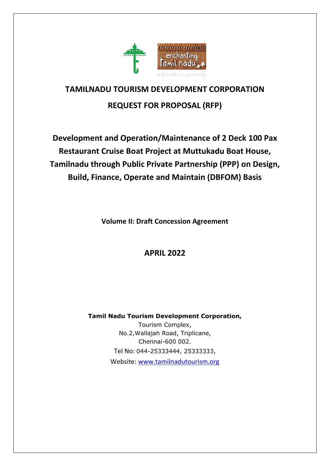

# **TAMILNADU TOURISM DEVELOPMENT CORPORATION REQUEST FOR PROPOSAL (RFP)**

**Development and Operation/Maintenance of 2 Deck 100 Pax Restaurant Cruise Boat Project at Muttukadu Boat House, Tamilnadu through Public Private Partnership (PPP) on Design, Build, Finance, Operate and Maintain (DBFOM) Basis** 

**Volume II: Draft Concession Agreement**

**APRIL 2022**

**Tamil Nadu Tourism Development Corporation,** Tourism Complex, No.2,Wallajah Road, Triplicane, Chennai-600 002. Tel No: 044-25333444, 25333333, Website: [www.tamilnadutourism.org](http://www.tamilnadutourism.org/)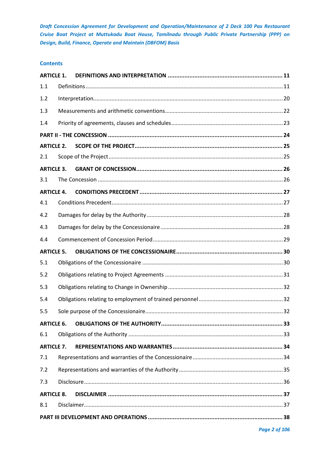# **Contents**

| <b>ARTICLE 1.</b> |  |
|-------------------|--|
| 1.1               |  |
| 1.2               |  |
| 1.3               |  |
| 1.4               |  |
|                   |  |
| <b>ARTICLE 2.</b> |  |
| 2.1               |  |
| <b>ARTICLE 3.</b> |  |
| 3.1               |  |
| <b>ARTICLE 4.</b> |  |
| 4.1               |  |
| 4.2               |  |
| 4.3               |  |
| 4.4               |  |
| <b>ARTICLE 5.</b> |  |
| 5.1               |  |
| 5.2               |  |
| 5.3               |  |
| 5.4               |  |
| 5.5               |  |
| <b>ARTICLE 6.</b> |  |
| 6.1               |  |
| <b>ARTICLE 7.</b> |  |
| 7.1               |  |
| 7.2               |  |
| 7.3               |  |
| <b>ARTICLE 8.</b> |  |
| 8.1               |  |
|                   |  |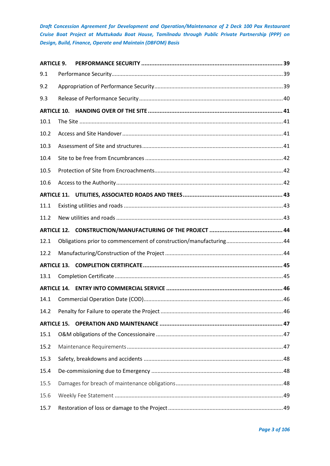| <b>ARTICLE 9.</b>  |                                                                   |  |
|--------------------|-------------------------------------------------------------------|--|
| 9.1                |                                                                   |  |
| 9.2                |                                                                   |  |
| 9.3                |                                                                   |  |
| <b>ARTICLE 10.</b> |                                                                   |  |
| 10.1               |                                                                   |  |
| 10.2               |                                                                   |  |
| 10.3               |                                                                   |  |
| 10.4               |                                                                   |  |
| 10.5               |                                                                   |  |
| 10.6               |                                                                   |  |
|                    |                                                                   |  |
| 11.1               |                                                                   |  |
| 11.2               |                                                                   |  |
|                    |                                                                   |  |
| 12.1               | Obligations prior to commencement of construction/manufacturing44 |  |
| 12.2               |                                                                   |  |
|                    |                                                                   |  |
| 13.1               |                                                                   |  |
|                    |                                                                   |  |
| 14.1               |                                                                   |  |
| 14.2               |                                                                   |  |
| <b>ARTICLE 15.</b> |                                                                   |  |
| 15.1               |                                                                   |  |
| 15.2               |                                                                   |  |
| 15.3               |                                                                   |  |
| 15.4               |                                                                   |  |
| 15.5               |                                                                   |  |
| 15.6               |                                                                   |  |
| 15.7               |                                                                   |  |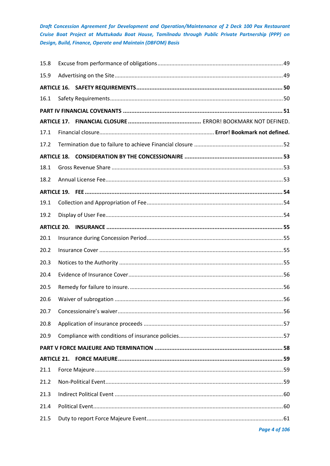| 15.8               |  |  |
|--------------------|--|--|
| 15.9               |  |  |
|                    |  |  |
| 16.1               |  |  |
|                    |  |  |
|                    |  |  |
| 17.1               |  |  |
| 17.2               |  |  |
| <b>ARTICLE 18.</b> |  |  |
| 18.1               |  |  |
| 18.2               |  |  |
|                    |  |  |
| 19.1               |  |  |
| 19.2               |  |  |
|                    |  |  |
| 20.1               |  |  |
| 20.2               |  |  |
| 20.3               |  |  |
| 20.4               |  |  |
| 20.5               |  |  |
| 20.6               |  |  |
| 20.7               |  |  |
| 20.8               |  |  |
| 20.9               |  |  |
|                    |  |  |
|                    |  |  |
| 21.1               |  |  |
| 21.2               |  |  |
| 21.3               |  |  |
| 21.4               |  |  |
| 21.5               |  |  |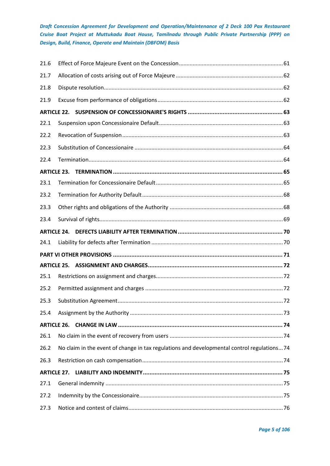| 21.6 |                    |                                                                                             |  |
|------|--------------------|---------------------------------------------------------------------------------------------|--|
| 21.7 |                    |                                                                                             |  |
| 21.8 |                    |                                                                                             |  |
| 21.9 |                    |                                                                                             |  |
|      | <b>ARTICLE 22.</b> |                                                                                             |  |
| 22.1 |                    |                                                                                             |  |
| 22.2 |                    |                                                                                             |  |
| 22.3 |                    |                                                                                             |  |
| 22.4 |                    |                                                                                             |  |
|      | <b>ARTICLE 23.</b> |                                                                                             |  |
| 23.1 |                    |                                                                                             |  |
| 23.2 |                    |                                                                                             |  |
| 23.3 |                    |                                                                                             |  |
| 23.4 |                    |                                                                                             |  |
|      | <b>ARTICLE 24.</b> |                                                                                             |  |
| 24.1 |                    |                                                                                             |  |
|      |                    |                                                                                             |  |
|      | <b>ARTICLE 25.</b> |                                                                                             |  |
| 25.1 |                    |                                                                                             |  |
| 25.2 |                    |                                                                                             |  |
| 25.3 |                    |                                                                                             |  |
| 25.4 |                    |                                                                                             |  |
|      |                    |                                                                                             |  |
| 26.1 |                    |                                                                                             |  |
| 26.2 |                    | No claim in the event of change in tax regulations and developmental control regulations 74 |  |
| 26.3 |                    |                                                                                             |  |
|      | <b>ARTICLE 27.</b> |                                                                                             |  |
| 27.1 |                    |                                                                                             |  |
| 27.2 |                    |                                                                                             |  |
| 27.3 |                    |                                                                                             |  |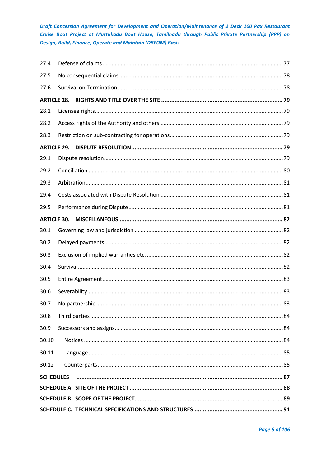| <b>SCHEDULES</b>   |  |
|--------------------|--|
| 30.12              |  |
| 30.11              |  |
| 30.10              |  |
| 30.9               |  |
| 30.8               |  |
| 30.7               |  |
| 30.6               |  |
| 30.5               |  |
| 30.4               |  |
| 30.3               |  |
| 30.2               |  |
| 30.1               |  |
| <b>ARTICLE 30.</b> |  |
| 29.5               |  |
| 29.4               |  |
| 29.3               |  |
| 29.2               |  |
| 29.1               |  |
| <b>ARTICLE 29.</b> |  |
| 28.3               |  |
| 28.2               |  |
| 28.1               |  |
| <b>ARTICLE 28.</b> |  |
| 27.6               |  |
| 27.5               |  |
| 27.4               |  |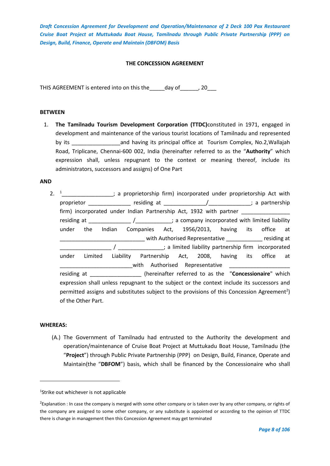# **THE CONCESSION AGREEMENT**

THIS AGREEMENT is entered into on this the day of any 20

#### **BETWEEN**

1. **The Tamilnadu Tourism Development Corporation (TTDC)**constituted in 1971, engaged in development and maintenance of the various tourist locations of Tamilnadu and represented by its \_\_\_\_\_\_\_\_\_\_\_\_\_\_\_\_and having its principal office at Tourism Complex, No.2,Wallajah Road, Triplicane, Chennai-600 002, India (hereinafter referred to as the "**Authority**" which expression shall, unless repugnant to the context or meaning thereof, include its administrators, successors and assigns) of One Part

#### **AND**

2.  $1$ <sup>1</sup>  $\ldots$   $\ldots$   $\ldots$  a proprietorship firm) incorporated under proprietorship Act with proprietor example in the residing at the set of the set of the set of the set of the set of the set of the set of the set of the set of the set of the set of the set of the set of the set of the set of the set of the set firm) incorporated under Indian Partnership Act, 1932 with partner residing at \_\_\_\_\_\_\_\_\_\_\_\_\_\_\_\_\_\_\_\_\_\_\_\_\_\_\_\_\_\_; a company incorporated with limited liability under the Indian Companies Act, 1956/2013, having its office at \_\_\_\_\_\_\_\_\_\_\_\_\_\_\_\_\_\_\_\_\_\_\_\_\_\_\_\_ with Authorised Representative \_\_\_\_\_\_\_\_\_\_\_\_ residing at  $1/\sqrt{2}$  /  $2\sqrt{2}$  /  $2\sqrt{2}$  inited liability partnership firm incorporated under Limited Liability Partnership Act, 2008, having its office at with Authorised Representative residing at \_\_\_\_\_\_\_\_\_\_\_\_\_\_\_\_\_ (hereinafter referred to as the "**Concessionaire**" which expression shall unless repugnant to the subject or the context include its successors and permitted assigns and substitutes subject to the provisions of this Concession Agreement<sup>2</sup>) of the Other Part.

# **WHEREAS:**

(A.) The Government of Tamilnadu had entrusted to the Authority the development and operation/maintenance of Cruise Boat Project at Muttukadu Boat House, Tamilnadu (the "**Project**") through Public Private Partnership (PPP) on Design, Build, Finance, Operate and Maintain(the "**DBFOM**") basis, which shall be financed by the Concessionaire who shall

1 Strike out whichever is not applicable

<sup>&</sup>lt;sup>2</sup>Explanation : In case the company is merged with some other company or is taken over by any other company, or rights of the company are assigned to some other company, or any substitute is appointed or according to the opinion of TTDC there is change in management then this Concession Agreement may get terminated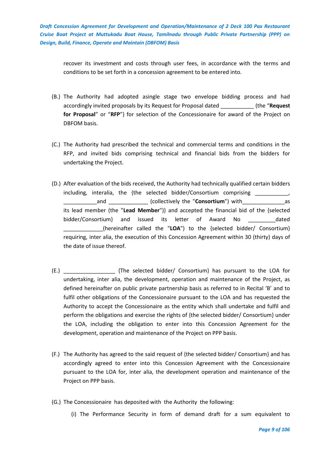recover its investment and costs through user fees, in accordance with the terms and conditions to be set forth in a concession agreement to be entered into.

- (B.) The Authority had adopted asingle stage two envelope bidding process and had accordingly invited proposals by its Request for Proposal dated \_\_\_\_\_\_\_\_\_\_\_ (the "**Request for Proposal**" or "**RFP**") for selection of the Concessionaire for award of the Project on DBFOM basis.
- (C.) The Authority had prescribed the technical and commercial terms and conditions in the RFP, and invited bids comprising technical and financial bids from the bidders for undertaking the Project.
- (D.) After evaluation of the bids received, the Authority had technically qualified certain bidders including, interalia, the {the selected bidder/Consortium comprising \_\_\_\_\_ and  $\qquad \qquad \qquad \qquad \text{(collectively the "Consortium") with}\qquad \qquad \qquad \text{as}$ its lead member (the "**Lead Member**")} and accepted the financial bid of the {selected bidder/Consortium} and issued its letter of Award No \_\_\_\_\_\_\_\_\_dated \_\_\_\_\_\_\_\_\_\_\_\_\_(hereinafter called the "**LOA**") to the {selected bidder/ Consortium} requiring, inter alia, the execution of this Concession Agreement within 30 (thirty) days of the date of issue thereof.
- (E.) \_\_\_\_\_\_\_\_\_\_\_\_\_\_\_\_\_ {The selected bidder/ Consortium} has pursuant to the LOA for undertaking, inter alia, the development, operation and maintenance of the Project, as defined hereinafter on public private partnership basis as referred to in Recital 'B' and to fulfil other obligations of the Concessionaire pursuant to the LOA and has requested the Authority to accept the Concessionaire as the entity which shall undertake and fulfil and perform the obligations and exercise the rights of {the selected bidder/ Consortium} under the LOA, including the obligation to enter into this Concession Agreement for the development, operation and maintenance of the Project on PPP basis.
- (F.) The Authority has agreed to the said request of {the selected bidder/ Consortium} and has accordingly agreed to enter into this Concession Agreement with the Concessionaire pursuant to the LOA for, inter alia, the development operation and maintenance of the Project on PPP basis.
- (G.) The Concessionaire has deposited with the Authority the following:
	- (i) The Performance Security in form of demand draft for a sum equivalent to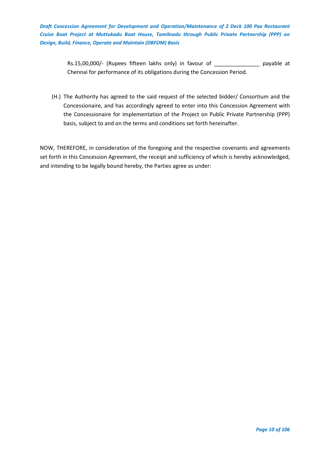> Rs.15,00,000/- (Rupees fifteen lakhs only) in favour of \_\_\_\_\_\_\_\_\_\_\_\_\_\_\_\_\_ payable at Chennai for performance of its obligations during the Concession Period.

(H.) The Authority has agreed to the said request of the selected bidder/ Consortium and the Concessionaire, and has accordingly agreed to enter into this Concession Agreement with the Concessionaire for implementation of the Project on Public Private Partnership (PPP) basis, subject to and on the terms and conditions set forth hereinafter.

NOW, THEREFORE, in consideration of the foregoing and the respective covenants and agreements set forth in this Concession Agreement, the receipt and sufficiency of which is hereby acknowledged, and intending to be legally bound hereby, the Parties agree as under: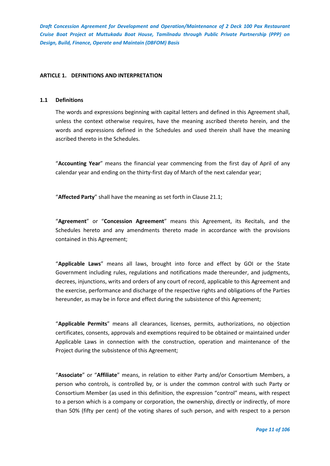# <span id="page-10-0"></span>**ARTICLE 1. DEFINITIONS AND INTERPRETATION**

#### <span id="page-10-1"></span>**1.1 Definitions**

The words and expressions beginning with capital letters and defined in this Agreement shall, unless the context otherwise requires, have the meaning ascribed thereto herein, and the words and expressions defined in the Schedules and used therein shall have the meaning ascribed thereto in the Schedules.

"**Accounting Year**" means the financial year commencing from the first day of April of any calendar year and ending on the thirty-first day of March of the next calendar year;

"**Affected Party**" shall have the meaning as set forth in Clause 21.1;

"**Agreement**" or "**Concession Agreement**" means this Agreement, its Recitals, and the Schedules hereto and any amendments thereto made in accordance with the provisions contained in this Agreement;

"**Applicable Laws**" means all laws, brought into force and effect by GOI or the State Government including rules, regulations and notifications made thereunder, and judgments, decrees, injunctions, writs and orders of any court of record, applicable to this Agreement and the exercise, performance and discharge of the respective rights and obligations of the Parties hereunder, as may be in force and effect during the subsistence of this Agreement;

"**Applicable Permits**" means all clearances, licenses, permits, authorizations, no objection certificates, consents, approvals and exemptions required to be obtained or maintained under Applicable Laws in connection with the construction, operation and maintenance of the Project during the subsistence of this Agreement;

"**Associate**" or "**Affiliate**" means, in relation to either Party and/or Consortium Members, a person who controls, is controlled by, or is under the common control with such Party or Consortium Member (as used in this definition, the expression "control" means, with respect to a person which is a company or corporation, the ownership, directly or indirectly, of more than 50% (fifty per cent) of the voting shares of such person, and with respect to a person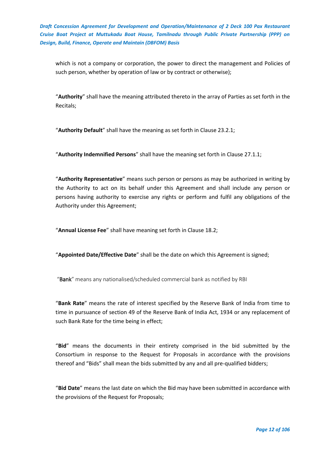which is not a company or corporation, the power to direct the management and Policies of such person, whether by operation of law or by contract or otherwise);

"**Authority**" shall have the meaning attributed thereto in the array of Parties as set forth in the Recitals;

"**Authority Default**" shall have the meaning as set forth in Clause 23.2.1;

"**Authority Indemnified Persons**" shall have the meaning set forth in Clause 27.1.1;

"**Authority Representative**" means such person or persons as may be authorized in writing by the Authority to act on its behalf under this Agreement and shall include any person or persons having authority to exercise any rights or perform and fulfil any obligations of the Authority under this Agreement;

"**Annual License Fee**" shall have meaning set forth in Clause 18.2;

"**Appointed Date/Effective Date**" shall be the date on which this Agreement is signed;

"Bank" means any nationalised/scheduled commercial bank as notified by RBI

"**Bank Rate**" means the rate of interest specified by the Reserve Bank of India from time to time in pursuance of section 49 of the Reserve Bank of India Act, 1934 or any replacement of such Bank Rate for the time being in effect;

"**Bid**" means the documents in their entirety comprised in the bid submitted by the Consortium in response to the Request for Proposals in accordance with the provisions thereof and "Bids" shall mean the bids submitted by any and all pre-qualified bidders;

"**Bid Date**" means the last date on which the Bid may have been submitted in accordance with the provisions of the Request for Proposals;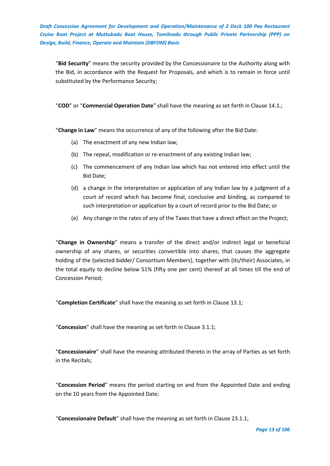"**Bid Security**" means the security provided by the Concessionaire to the Authority along with the Bid, in accordance with the Request for Proposals, and which is to remain in force until substituted by the Performance Security;

"**COD**" or "**Commercial Operation Date**" shall have the meaning as set forth in Clause 14.1.;

"**Change in Law**" means the occurrence of any of the following after the Bid Date:

- (a) The enactment of any new Indian law;
- (b) The repeal, modification or re-enactment of any existing Indian law;
- (c) The commencement of any Indian law which has not entered into effect until the Bid Date;
- (d) a change in the interpretation or application of any Indian law by a judgment of a court of record which has become final, conclusive and binding, as compared to such interpretation or application by a court of record prior to the Bid Date; or
- (e) Any change in the rates of any of the Taxes that have a direct effect on the Project;

"**Change in Ownership**" means a transfer of the direct and/or indirect legal or beneficial ownership of any shares, or securities convertible into shares, that causes the aggregate holding of the {selected bidder/ Consortium Members}, together with {its/their} Associates, in the total equity to decline below 51% (fifty one per cent) thereof at all times till the end of Concession Period;

"**Completion Certificate**" shall have the meaning as set forth in Clause 13.1;

"**Concession**" shall have the meaning as set forth in Clause 3.1.1;

"**Concessionaire**" shall have the meaning attributed thereto in the array of Parties as set forth in the Recitals;

"**Concession Period**" means the period starting on and from the Appointed Date and ending on the 10 years from the Appointed Date;

"**Concessionaire Default**" shall have the meaning as set forth in Clause 23.1.1;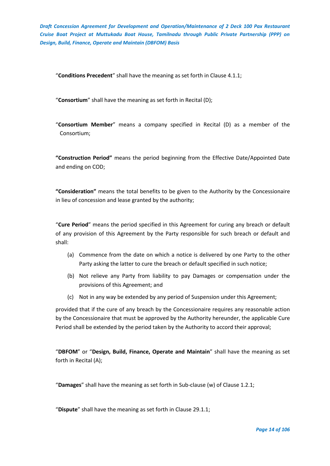"**Conditions Precedent**" shall have the meaning as set forth in Clause 4.1.1;

"**Consortium**" shall have the meaning as set forth in Recital (D);

"**Consortium Member**" means a company specified in Recital (D) as a member of the Consortium;

**"Construction Period"** means the period beginning from the Effective Date/Appointed Date and ending on COD;

**"Consideration"** means the total benefits to be given to the Authority by the Concessionaire in lieu of concession and lease granted by the authority;

"**Cure Period**" means the period specified in this Agreement for curing any breach or default of any provision of this Agreement by the Party responsible for such breach or default and shall:

- (a) Commence from the date on which a notice is delivered by one Party to the other Party asking the latter to cure the breach or default specified in such notice;
- (b) Not relieve any Party from liability to pay Damages or compensation under the provisions of this Agreement; and
- (c) Not in any way be extended by any period of Suspension under this Agreement;

provided that if the cure of any breach by the Concessionaire requires any reasonable action by the Concessionaire that must be approved by the Authority hereunder, the applicable Cure Period shall be extended by the period taken by the Authority to accord their approval;

"**DBFOM**" or "**Design, Build, Finance, Operate and Maintain**" shall have the meaning as set forth in Recital (A);

"**Damages**" shall have the meaning as set forth in Sub-clause (w) of Clause 1.2.1;

"**Dispute**" shall have the meaning as set forth in Clause 29.1.1;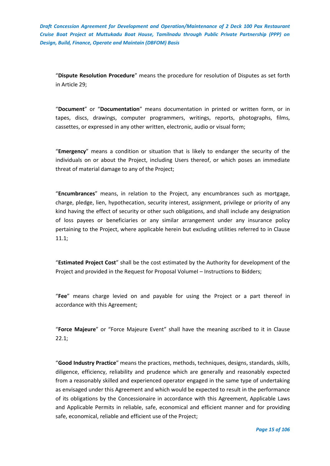"**Dispute Resolution Procedure**" means the procedure for resolution of Disputes as set forth in Article 29;

"**Document**" or "**Documentation**" means documentation in printed or written form, or in tapes, discs, drawings, computer programmers, writings, reports, photographs, films, cassettes, or expressed in any other written, electronic, audio or visual form;

"**Emergency**" means a condition or situation that is likely to endanger the security of the individuals on or about the Project, including Users thereof, or which poses an immediate threat of material damage to any of the Project;

"**Encumbrances**" means, in relation to the Project, any encumbrances such as mortgage, charge, pledge, lien, hypothecation, security interest, assignment, privilege or priority of any kind having the effect of security or other such obligations, and shall include any designation of loss payees or beneficiaries or any similar arrangement under any insurance policy pertaining to the Project, where applicable herein but excluding utilities referred to in Clause 11.1;

"**Estimated Project Cost**" shall be the cost estimated by the Authority for development of the Project and provided in the Request for Proposal VolumeI – Instructions to Bidders;

"**Fee**" means charge levied on and payable for using the Project or a part thereof in accordance with this Agreement;

"**Force Majeure**" or "Force Majeure Event" shall have the meaning ascribed to it in Clause 22.1;

"**Good Industry Practice**" means the practices, methods, techniques, designs, standards, skills, diligence, efficiency, reliability and prudence which are generally and reasonably expected from a reasonably skilled and experienced operator engaged in the same type of undertaking as envisaged under this Agreement and which would be expected to result in the performance of its obligations by the Concessionaire in accordance with this Agreement, Applicable Laws and Applicable Permits in reliable, safe, economical and efficient manner and for providing safe, economical, reliable and efficient use of the Project;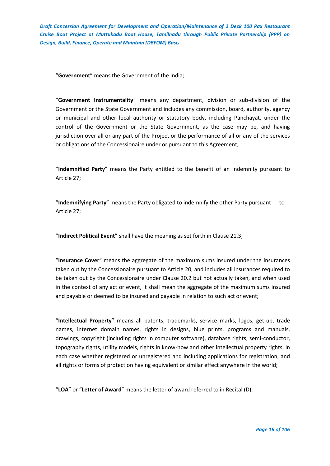"**Government**" means the Government of the India;

"**Government Instrumentality**" means any department, division or sub-division of the Government or the State Government and includes any commission, board, authority, agency or municipal and other local authority or statutory body, including Panchayat, under the control of the Government or the State Government, as the case may be, and having jurisdiction over all or any part of the Project or the performance of all or any of the services or obligations of the Concessionaire under or pursuant to this Agreement;

"**Indemnified Party**" means the Party entitled to the benefit of an indemnity pursuant to Article 27;

"**Indemnifying Party**" means the Party obligated to indemnify the other Party pursuant to Article 27;

"**Indirect Political Event**" shall have the meaning as set forth in Clause 21.3;

"**Insurance Cover**" means the aggregate of the maximum sums insured under the insurances taken out by the Concessionaire pursuant to Article 20, and includes all insurances required to be taken out by the Concessionaire under Clause 20.2 but not actually taken, and when used in the context of any act or event, it shall mean the aggregate of the maximum sums insured and payable or deemed to be insured and payable in relation to such act or event;

"**Intellectual Property**" means all patents, trademarks, service marks, logos, get-up, trade names, internet domain names, rights in designs, blue prints, programs and manuals, drawings, copyright (including rights in computer software), database rights, semi-conductor, topography rights, utility models, rights in know-how and other intellectual property rights, in each case whether registered or unregistered and including applications for registration, and all rights or forms of protection having equivalent or similar effect anywhere in the world;

"**LOA**" or "**Letter of Award**" means the letter of award referred to in Recital (D);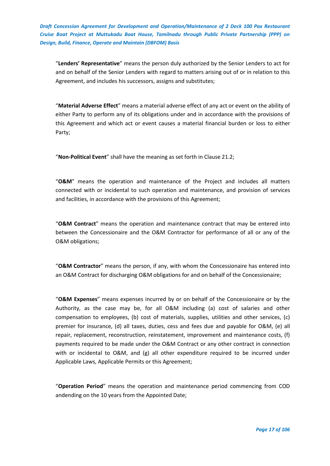"**Lenders' Representative**" means the person duly authorized by the Senior Lenders to act for and on behalf of the Senior Lenders with regard to matters arising out of or in relation to this Agreement, and includes his successors, assigns and substitutes;

"**Material Adverse Effect**" means a material adverse effect of any act or event on the ability of either Party to perform any of its obligations under and in accordance with the provisions of this Agreement and which act or event causes a material financial burden or loss to either Party;

"**Non-Political Event**" shall have the meaning as set forth in Clause 21.2;

"**O&M**" means the operation and maintenance of the Project and includes all matters connected with or incidental to such operation and maintenance, and provision of services and facilities, in accordance with the provisions of this Agreement;

"**O&M Contract**" means the operation and maintenance contract that may be entered into between the Concessionaire and the O&M Contractor for performance of all or any of the O&M obligations;

"**O&M Contractor**" means the person, if any, with whom the Concessionaire has entered into an O&M Contract for discharging O&M obligations for and on behalf of the Concessionaire;

"**O&M Expenses**" means expenses incurred by or on behalf of the Concessionaire or by the Authority, as the case may be, for all O&M including (a) cost of salaries and other compensation to employees, (b) cost of materials, supplies, utilities and other services, (c) premier for insurance, (d) all taxes, duties, cess and fees due and payable for O&M, (e) all repair, replacement, reconstruction, reinstatement, improvement and maintenance costs, (f) payments required to be made under the O&M Contract or any other contract in connection with or incidental to O&M, and (g) all other expenditure required to be incurred under Applicable Laws, Applicable Permits or this Agreement;

"**Operation Period**" means the operation and maintenance period commencing from COD andending on the 10 years from the Appointed Date;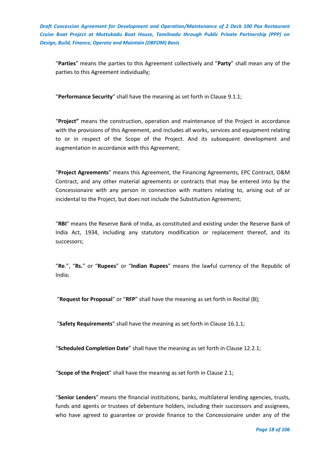"**Parties**" means the parties to this Agreement collectively and "**Party**" shall mean any of the parties to this Agreement individually;

"**Performance Security**" shall have the meaning as set forth in Clause 9.1.1;

"**Project"** means the construction, operation and maintenance of the Project in accordance with the provisions of this Agreement, and includes all works, services and equipment relating to or in respect of the Scope of the Project. And its subsequent development and augmentation in accordance with this Agreement;

"**Project Agreements**" means this Agreement, the Financing Agreements, EPC Contract, O&M Contract, and any other material agreements or contracts that may be entered into by the Concessionaire with any person in connection with matters relating to, arising out of or incidental to the Project, but does not include the Substitution Agreement;

"**RBI**" means the Reserve Bank of India, as constituted and existing under the Reserve Bank of India Act, 1934, including any statutory modification or replacement thereof, and its successors;

"**Re**.", "**Rs.**" or "**Rupees**" or "**Indian Rupees**" means the lawful currency of the Republic of India;

"**Request for Proposal**" or "**RFP**" shall have the meaning as set forth in Recital (B);

"**Safety Requirements**" shall have the meaning as set forth in Clause 16.1.1;

"**Scheduled Completion Date**" shall have the meaning as set forth in Clause 12.2.1;

"**Scope of the Project**" shall have the meaning as set forth in Clause 2.1;

"**Senior Lenders**" means the financial institutions, banks, multilateral lending agencies, trusts, funds and agents or trustees of debenture holders, including their successors and assignees, who have agreed to guarantee or provide finance to the Concessionaire under any of the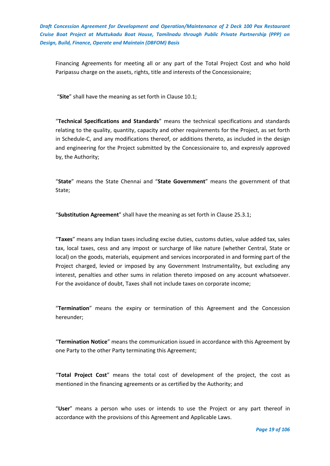Financing Agreements for meeting all or any part of the Total Project Cost and who hold Paripassu charge on the assets, rights, title and interests of the Concessionaire;

"**Site**" shall have the meaning as set forth in Clause 10.1;

"**Technical Specifications and Standards**" means the technical specifications and standards relating to the quality, quantity, capacity and other requirements for the Project, as set forth in Schedule-C, and any modifications thereof, or additions thereto, as included in the design and engineering for the Project submitted by the Concessionaire to, and expressly approved by, the Authority;

"**State**" means the State Chennai and "**State Government**" means the government of that State;

"**Substitution Agreement**" shall have the meaning as set forth in Clause 25.3.1;

"**Taxes**" means any Indian taxes including excise duties, customs duties, value added tax, sales tax, local taxes, cess and any impost or surcharge of like nature (whether Central, State or local) on the goods, materials, equipment and services incorporated in and forming part of the Project charged, levied or imposed by any Government Instrumentality, but excluding any interest, penalties and other sums in relation thereto imposed on any account whatsoever. For the avoidance of doubt, Taxes shall not include taxes on corporate income;

"**Termination**" means the expiry or termination of this Agreement and the Concession hereunder;

"**Termination Notice**" means the communication issued in accordance with this Agreement by one Party to the other Party terminating this Agreement;

"**Total Project Cost**" means the total cost of development of the project, the cost as mentioned in the financing agreements or as certified by the Authority; and

"**User**" means a person who uses or intends to use the Project or any part thereof in accordance with the provisions of this Agreement and Applicable Laws.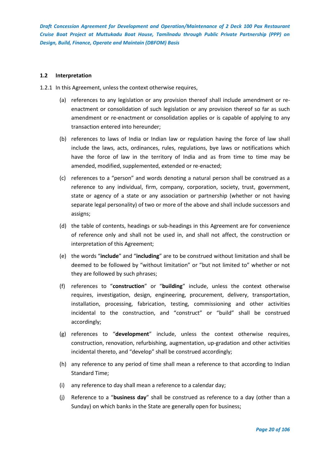## <span id="page-19-0"></span>**1.2 Interpretation**

- 1.2.1 In this Agreement, unless the context otherwise requires,
	- (a) references to any legislation or any provision thereof shall include amendment or reenactment or consolidation of such legislation or any provision thereof so far as such amendment or re-enactment or consolidation applies or is capable of applying to any transaction entered into hereunder;
	- (b) references to laws of India or Indian law or regulation having the force of law shall include the laws, acts, ordinances, rules, regulations, bye laws or notifications which have the force of law in the territory of India and as from time to time may be amended, modified, supplemented, extended or re-enacted;
	- (c) references to a "person" and words denoting a natural person shall be construed as a reference to any individual, firm, company, corporation, society, trust, government, state or agency of a state or any association or partnership (whether or not having separate legal personality) of two or more of the above and shall include successors and assigns;
	- (d) the table of contents, headings or sub-headings in this Agreement are for convenience of reference only and shall not be used in, and shall not affect, the construction or interpretation of this Agreement;
	- (e) the words "**include**" and "**including**" are to be construed without limitation and shall be deemed to be followed by "without limitation" or "but not limited to" whether or not they are followed by such phrases;
	- (f) references to "**construction**" or "**building**" include, unless the context otherwise requires, investigation, design, engineering, procurement, delivery, transportation, installation, processing, fabrication, testing, commissioning and other activities incidental to the construction, and "construct" or "build" shall be construed accordingly;
	- (g) references to "**development**" include, unless the context otherwise requires, construction, renovation, refurbishing, augmentation, up-gradation and other activities incidental thereto, and "develop" shall be construed accordingly;
	- (h) any reference to any period of time shall mean a reference to that according to Indian Standard Time;
	- (i) any reference to day shall mean a reference to a calendar day;
	- (j) Reference to a "**business day**" shall be construed as reference to a day (other than a Sunday) on which banks in the State are generally open for business;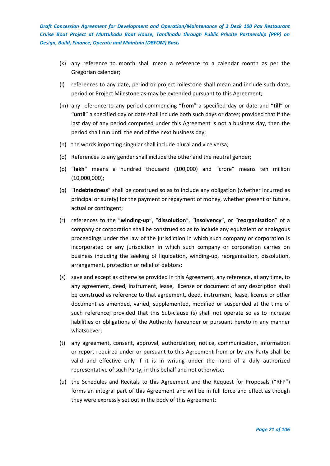- (k) any reference to month shall mean a reference to a calendar month as per the Gregorian calendar;
- (l) references to any date, period or project milestone shall mean and include such date, period or Project Milestone as-may be extended pursuant to this Agreement;
- (m) any reference to any period commencing "**from**" a specified day or date and "**till**" or "**until**" a specified day or date shall include both such days or dates; provided that if the last day of any period computed under this Agreement is not a business day, then the period shall run until the end of the next business day;
- (n) the words importing singular shall include plural and vice versa;
- (o) References to any gender shall include the other and the neutral gender;
- (p) "**lakh**" means a hundred thousand (100,000) and "crore" means ten million (10,000,000);
- (q) "**Indebtedness**" shall be construed so as to include any obligation (whether incurred as principal or surety) for the payment or repayment of money, whether present or future, actual or contingent;
- (r) references to the "**winding-up**", "**dissolution**", "**insolvency**", or "**reorganisation**" of a company or corporation shall be construed so as to include any equivalent or analogous proceedings under the law of the jurisdiction in which such company or corporation is incorporated or any jurisdiction in which such company or corporation carries on business including the seeking of liquidation, winding-up, reorganisation, dissolution, arrangement, protection or relief of debtors;
- (s) save and except as otherwise provided in this Agreement, any reference, at any time, to any agreement, deed, instrument, lease, license or document of any description shall be construed as reference to that agreement, deed, instrument, lease, license or other document as amended, varied, supplemented, modified or suspended at the time of such reference; provided that this Sub-clause (s) shall not operate so as to increase liabilities or obligations of the Authority hereunder or pursuant hereto in any manner whatsoever;
- (t) any agreement, consent, approval, authorization, notice, communication, information or report required under or pursuant to this Agreement from or by any Party shall be valid and effective only if it is in writing under the hand of a duly authorized representative of such Party, in this behalf and not otherwise;
- (u) the Schedules and Recitals to this Agreement and the Request for Proposals ("RFP") forms an integral part of this Agreement and will be in full force and effect as though they were expressly set out in the body of this Agreement;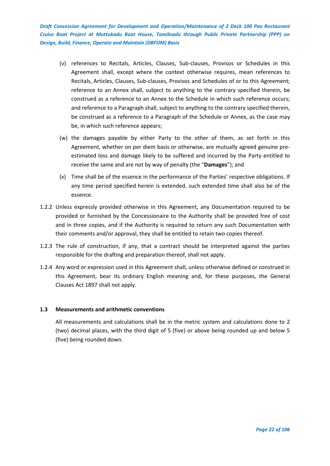- (v) references to Recitals, Articles, Clauses, Sub-clauses, Provisos or Schedules in this Agreement shall, except where the context otherwise requires, mean references to Recitals, Articles, Clauses, Sub-clauses, Provisos and Schedules of or to this Agreement; reference to an Annex shall, subject to anything to the contrary specified therein, be construed as a reference to an Annex to the Schedule in which such reference occurs; and reference to a Paragraph shall, subject to anything to the contrary specified therein, be construed as a reference to a Paragraph of the Schedule or Annex, as the case may be, in which such reference appears;
- (w) the damages payable by either Party to the other of them, as set forth in this Agreement, whether on per diem basis or otherwise, are mutually agreed genuine preestimated loss and damage likely to be suffered and incurred by the Party entitled to receive the same and are not by way of penalty (the "**Damages**"); and
- (x) Time shall be of the essence in the performance of the Parties' respective obligations. If any time period specified herein is extended, such extended time shall also be of the essence.
- 1.2.2 Unless expressly provided otherwise in this Agreement, any Documentation required to be provided or furnished by the Concessionaire to the Authority shall be provided free of cost and in three copies, and if the Authority is required to return any such Documentation with their comments and/or approval, they shall be entitled to retain two copies thereof.
- 1.2.3 The rule of construction, if any, that a contract should be interpreted against the parties responsible for the drafting and preparation thereof, shall not apply.
- 1.2.4 Any word or expression used in this Agreement shall, unless otherwise defined or construed in this Agreement, bear its ordinary English meaning and, for these purposes, the General Clauses Act 1897 shall not apply.

# <span id="page-21-0"></span>**1.3 Measurements and arithmetic conventions**

All measurements and calculations shall be in the metric system and calculations done to 2 (two) decimal places, with the third digit of 5 (five) or above being rounded up and below 5 (five) being rounded down.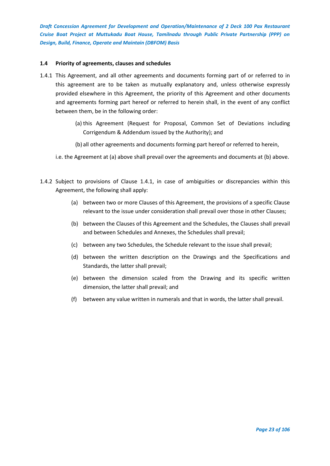## <span id="page-22-0"></span>**1.4 Priority of agreements, clauses and schedules**

- 1.4.1 This Agreement, and all other agreements and documents forming part of or referred to in this agreement are to be taken as mutually explanatory and, unless otherwise expressly provided elsewhere in this Agreement, the priority of this Agreement and other documents and agreements forming part hereof or referred to herein shall, in the event of any conflict between them, be in the following order:
	- (a) this Agreement (Request for Proposal, Common Set of Deviations including Corrigendum & Addendum issued by the Authority); and
	- (b) all other agreements and documents forming part hereof or referred to herein,
	- i.e. the Agreement at (a) above shall prevail over the agreements and documents at (b) above.
- 1.4.2 Subject to provisions of Clause 1.4.1, in case of ambiguities or discrepancies within this Agreement, the following shall apply:
	- (a) between two or more Clauses of this Agreement, the provisions of a specific Clause relevant to the issue under consideration shall prevail over those in other Clauses;
	- (b) between the Clauses of this Agreement and the Schedules, the Clauses shall prevail and between Schedules and Annexes, the Schedules shall prevail;
	- (c) between any two Schedules, the Schedule relevant to the issue shall prevail;
	- (d) between the written description on the Drawings and the Specifications and Standards, the latter shall prevail;
	- (e) between the dimension scaled from the Drawing and its specific written dimension, the latter shall prevail; and
	- (f) between any value written in numerals and that in words, the latter shall prevail.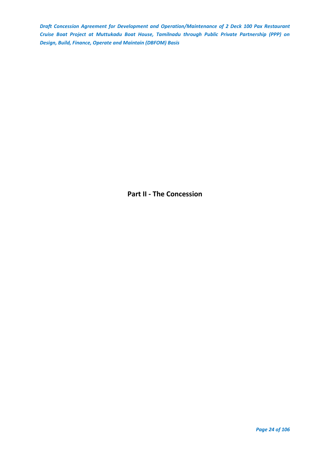<span id="page-23-0"></span>**Part II - The Concession**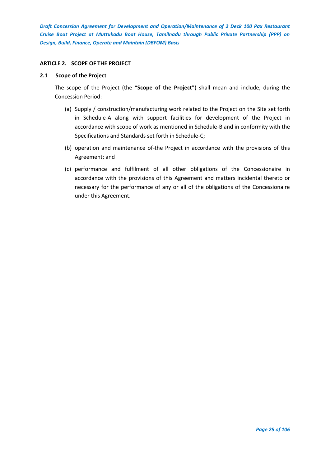# <span id="page-24-0"></span>**ARTICLE 2. SCOPE OF THE PROJECT**

#### <span id="page-24-1"></span>**2.1 Scope of the Project**

The scope of the Project (the "**Scope of the Project**") shall mean and include, during the Concession Period:

- (a) Supply / construction/manufacturing work related to the Project on the Site set forth in Schedule-A along with support facilities for development of the Project in accordance with scope of work as mentioned in Schedule-B and in conformity with the Specifications and Standards set forth in Schedule-C;
- (b) operation and maintenance of-the Project in accordance with the provisions of this Agreement; and
- (c) performance and fulfilment of all other obligations of the Concessionaire in accordance with the provisions of this Agreement and matters incidental thereto or necessary for the performance of any or all of the obligations of the Concessionaire under this Agreement.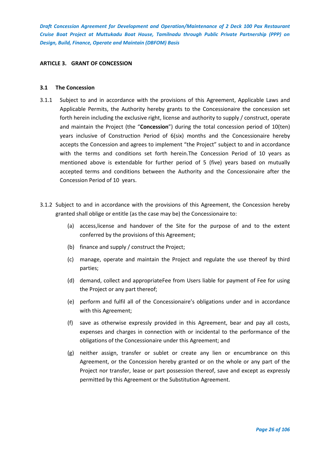## <span id="page-25-0"></span>**ARTICLE 3. GRANT OF CONCESSION**

#### <span id="page-25-1"></span>**3.1 The Concession**

- 3.1.1 Subject to and in accordance with the provisions of this Agreement, Applicable Laws and Applicable Permits, the Authority hereby grants to the Concessionaire the concession set forth herein including the exclusive right, license and authority to supply / construct, operate and maintain the Project (the "**Concession**") during the total concession period of 10(ten) years inclusive of Construction Period of 6(six) months and the Concessionaire hereby accepts the Concession and agrees to implement "the Project" subject to and in accordance with the terms and conditions set forth herein.The Concession Period of 10 years as mentioned above is extendable for further period of 5 (five) years based on mutually accepted terms and conditions between the Authority and the Concessionaire after the Concession Period of 10 years.
- 3.1.2 Subject to and in accordance with the provisions of this Agreement, the Concession hereby granted shall oblige or entitle (as the case may be) the Concessionaire to:
	- (a) access,license and handover of the Site for the purpose of and to the extent conferred by the provisions of this Agreement;
	- (b) finance and supply / construct the Project;
	- (c) manage, operate and maintain the Project and regulate the use thereof by third parties;
	- (d) demand, collect and appropriateFee from Users liable for payment of Fee for using the Project or any part thereof;
	- (e) perform and fulfil all of the Concessionaire's obligations under and in accordance with this Agreement;
	- (f) save as otherwise expressly provided in this Agreement, bear and pay all costs, expenses and charges in connection with or incidental to the performance of the obligations of the Concessionaire under this Agreement; and
	- (g) neither assign, transfer or sublet or create any lien or encumbrance on this Agreement, or the Concession hereby granted or on the whole or any part of the Project nor transfer, lease or part possession thereof, save and except as expressly permitted by this Agreement or the Substitution Agreement.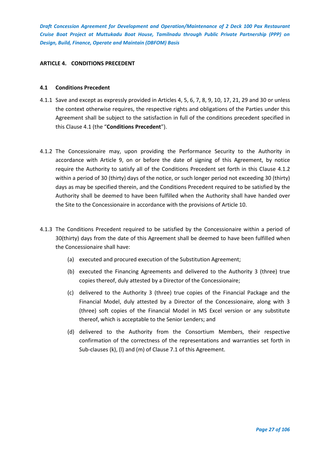## <span id="page-26-0"></span>**ARTICLE 4. CONDITIONS PRECEDENT**

#### <span id="page-26-1"></span>**4.1 Conditions Precedent**

- 4.1.1 Save and except as expressly provided in Articles 4, 5, 6, 7, 8, 9, 10, 17, 21, 29 and 30 or unless the context otherwise requires, the respective rights and obligations of the Parties under this Agreement shall be subject to the satisfaction in full of the conditions precedent specified in this Clause 4.1 (the "**Conditions Precedent**").
- 4.1.2 The Concessionaire may, upon providing the Performance Security to the Authority in accordance with Article 9, on or before the date of signing of this Agreement, by notice require the Authority to satisfy all of the Conditions Precedent set forth in this Clause 4.1.2 within a period of 30 (thirty) days of the notice, or such longer period not exceeding 30 (thirty) days as may be specified therein, and the Conditions Precedent required to be satisfied by the Authority shall be deemed to have been fulfilled when the Authority shall have handed over the Site to the Concessionaire in accordance with the provisions of Article 10.
- 4.1.3 The Conditions Precedent required to be satisfied by the Concessionaire within a period of 30(thirty) days from the date of this Agreement shall be deemed to have been fulfilled when the Concessionaire shall have:
	- (a) executed and procured execution of the Substitution Agreement;
	- (b) executed the Financing Agreements and delivered to the Authority 3 (three) true copies thereof, duly attested by a Director of the Concessionaire;
	- (c) delivered to the Authority 3 (three) true copies of the Financial Package and the Financial Model, duly attested by a Director of the Concessionaire, along with 3 (three) soft copies of the Financial Model in MS Excel version or any substitute thereof, which is acceptable to the Senior Lenders; and
	- (d) delivered to the Authority from the Consortium Members, their respective confirmation of the correctness of the representations and warranties set forth in Sub-clauses (k), (l) and (m) of Clause 7.1 of this Agreement.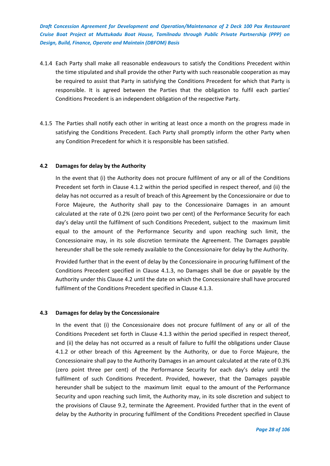- 4.1.4 Each Party shall make all reasonable endeavours to satisfy the Conditions Precedent within the time stipulated and shall provide the other Party with such reasonable cooperation as may be required to assist that Party in satisfying the Conditions Precedent for which that Party is responsible. It is agreed between the Parties that the obligation to fulfil each parties' Conditions Precedent is an independent obligation of the respective Party.
- 4.1.5 The Parties shall notify each other in writing at least once a month on the progress made in satisfying the Conditions Precedent. Each Party shall promptly inform the other Party when any Condition Precedent for which it is responsible has been satisfied.

## <span id="page-27-0"></span>**4.2 Damages for delay by the Authority**

In the event that (i) the Authority does not procure fulfilment of any or all of the Conditions Precedent set forth in Clause 4.1.2 within the period specified in respect thereof, and (ii) the delay has not occurred as a result of breach of this Agreement by the Concessionaire or due to Force Majeure, the Authority shall pay to the Concessionaire Damages in an amount calculated at the rate of 0.2% (zero point two per cent) of the Performance Security for each day's delay until the fulfilment of such Conditions Precedent, subject to the maximum limit equal to the amount of the Performance Security and upon reaching such limit, the Concessionaire may, in its sole discretion terminate the Agreement. The Damages payable hereunder shall be the sole remedy available to the Concessionaire for delay by the Authority.

Provided further that in the event of delay by the Concessionaire in procuring fulfilment of the Conditions Precedent specified in Clause 4.1.3, no Damages shall be due or payable by the Authority under this Clause 4.2 until the date on which the Concessionaire shall have procured fulfilment of the Conditions Precedent specified in Clause 4.1.3.

#### <span id="page-27-1"></span>**4.3 Damages for delay by the Concessionaire**

In the event that (i) the Concessionaire does not procure fulfilment of any or all of the Conditions Precedent set forth in Clause 4.1.3 within the period specified in respect thereof, and (ii) the delay has not occurred as a result of failure to fulfil the obligations under Clause 4.1.2 or other breach of this Agreement by the Authority, or due to Force Majeure, the Concessionaire shall pay to the Authority Damages in an amount calculated at the rate of 0.3% (zero point three per cent) of the Performance Security for each day's delay until the fulfilment of such Conditions Precedent. Provided, however, that the Damages payable hereunder shall be subject to the maximum limit equal to the amount of the Performance Security and upon reaching such limit, the Authority may, in its sole discretion and subject to the provisions of Clause 9.2, terminate the Agreement. Provided further that in the event of delay by the Authority in procuring fulfilment of the Conditions Precedent specified in Clause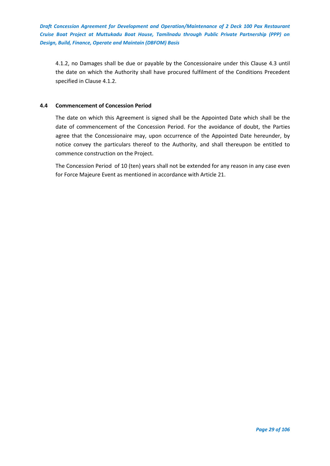4.1.2, no Damages shall be due or payable by the Concessionaire under this Clause 4.3 until the date on which the Authority shall have procured fulfilment of the Conditions Precedent specified in Clause 4.1.2.

# <span id="page-28-0"></span>**4.4 Commencement of Concession Period**

The date on which this Agreement is signed shall be the Appointed Date which shall be the date of commencement of the Concession Period. For the avoidance of doubt, the Parties agree that the Concessionaire may, upon occurrence of the Appointed Date hereunder, by notice convey the particulars thereof to the Authority, and shall thereupon be entitled to commence construction on the Project.

The Concession Period of 10 (ten) years shall not be extended for any reason in any case even for Force Majeure Event as mentioned in accordance with Article 21.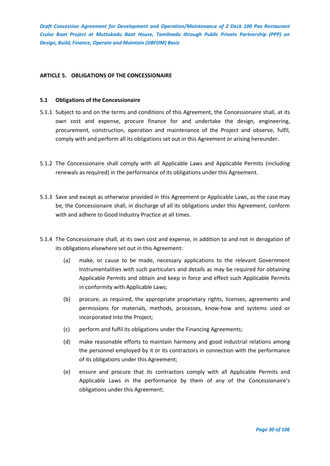# <span id="page-29-0"></span>**ARTICLE 5. OBLIGATIONS OF THE CONCESSIONAIRE**

#### <span id="page-29-1"></span>**5.1 Obligations of the Concessionaire**

- 5.1.1 Subject to and on the terms and conditions of this Agreement, the Concessionaire shall, at its own cost and expense, procure finance for and undertake the design, engineering, procurement, construction, operation and maintenance of the Project and observe, fulfil, comply with and perform all its obligations set out in this Agreement or arising hereunder.
- 5.1.2 The Concessionaire shall comply with all Applicable Laws and Applicable Permits (including renewals as required) in the performance of its obligations under this Agreement.
- 5.1.3 Save and except as otherwise provided in this Agreement or Applicable Laws, as the case may be, the Concessionaire shall, in discharge of all its obligations under this Agreement, conform with and adhere to Good Industry Practice at all times.
- 5.1.4 The Concessionaire shall, at its own cost and expense, in addition to and not in derogation of its obligations elsewhere set out in this Agreement:
	- (a) make, or cause to be made, necessary applications to the relevant Government Instrumentalities with such particulars and details as may be required for obtaining Applicable Permits and obtain and keep in force and effect such Applicable Permits in conformity with Applicable Laws;
	- (b) procure, as required, the appropriate proprietary rights, licenses, agreements and permissions for materials, methods, processes, know-how and systems used or incorporated into the Project;
	- (c) perform and fulfil its obligations under the Financing Agreements;
	- (d) make reasonable efforts to maintain harmony and good industrial relations among the personnel employed by it or its contractors in connection with the performance of its obligations under this Agreement;
	- (e) ensure and procure that its contractors comply with all Applicable Permits and Applicable Laws in the performance by them of any of the Concessionaire's obligations under this Agreement;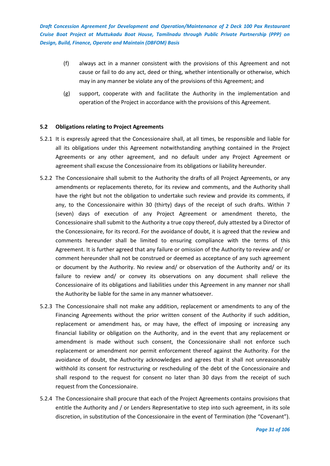- (f) always act in a manner consistent with the provisions of this Agreement and not cause or fail to do any act, deed or thing, whether intentionally or otherwise, which may in any manner be violate any of the provisions of this Agreement; and
- (g) support, cooperate with and facilitate the Authority in the implementation and operation of the Project in accordance with the provisions of this Agreement.

## <span id="page-30-0"></span>**5.2 Obligations relating to Project Agreements**

- 5.2.1 It is expressly agreed that the Concessionaire shall, at all times, be responsible and liable for all its obligations under this Agreement notwithstanding anything contained in the Project Agreements or any other agreement, and no default under any Project Agreement or agreement shall excuse the Concessionaire from its obligations or liability hereunder.
- 5.2.2 The Concessionaire shall submit to the Authority the drafts of all Project Agreements, or any amendments or replacements thereto, for its review and comments, and the Authority shall have the right but not the obligation to undertake such review and provide its comments, if any, to the Concessionaire within 30 (thirty) days of the receipt of such drafts. Within 7 (seven) days of execution of any Project Agreement or amendment thereto, the Concessionaire shall submit to the Authority a true copy thereof, duly attested by a Director of the Concessionaire, for its record. For the avoidance of doubt, it is agreed that the review and comments hereunder shall be limited to ensuring compliance with the terms of this Agreement. It is further agreed that any failure or omission of the Authority to review and/ or comment hereunder shall not be construed or deemed as acceptance of any such agreement or document by the Authority. No review and/ or observation of the Authority and/ or its failure to review and/ or convey its observations on any document shall relieve the Concessionaire of its obligations and liabilities under this Agreement in any manner nor shall the Authority be liable for the same in any manner whatsoever.
- 5.2.3 The Concessionaire shall not make any addition, replacement or amendments to any of the Financing Agreements without the prior written consent of the Authority if such addition, replacement or amendment has, or may have, the effect of imposing or increasing any financial liability or obligation on the Authority, and in the event that any replacement or amendment is made without such consent, the Concessionaire shall not enforce such replacement or amendment nor permit enforcement thereof against the Authority. For the avoidance of doubt, the Authority acknowledges and agrees that it shall not unreasonably withhold its consent for restructuring or rescheduling of the debt of the Concessionaire and shall respond to the request for consent no later than 30 days from the receipt of such request from the Concessionaire.
- 5.2.4 The Concessionaire shall procure that each of the Project Agreements contains provisions that entitle the Authority and / or Lenders Representative to step into such agreement, in its sole discretion, in substitution of the Concessionaire in the event of Termination (the "Covenant").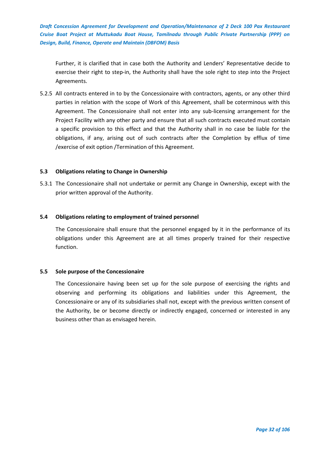Further, it is clarified that in case both the Authority and Lenders' Representative decide to exercise their right to step-in, the Authority shall have the sole right to step into the Project Agreements.

5.2.5 All contracts entered in to by the Concessionaire with contractors, agents, or any other third parties in relation with the scope of Work of this Agreement, shall be coterminous with this Agreement. The Concessionaire shall not enter into any sub-licensing arrangement for the Project Facility with any other party and ensure that all such contracts executed must contain a specific provision to this effect and that the Authority shall in no case be liable for the obligations, if any, arising out of such contracts after the Completion by efflux of time /exercise of exit option /Termination of this Agreement.

# <span id="page-31-0"></span>**5.3 Obligations relating to Change in Ownership**

5.3.1 The Concessionaire shall not undertake or permit any Change in Ownership, except with the prior written approval of the Authority.

## <span id="page-31-1"></span>**5.4 Obligations relating to employment of trained personnel**

The Concessionaire shall ensure that the personnel engaged by it in the performance of its obligations under this Agreement are at all times properly trained for their respective function.

# <span id="page-31-2"></span>**5.5 Sole purpose of the Concessionaire**

The Concessionaire having been set up for the sole purpose of exercising the rights and observing and performing its obligations and liabilities under this Agreement, the Concessionaire or any of its subsidiaries shall not, except with the previous written consent of the Authority, be or become directly or indirectly engaged, concerned or interested in any business other than as envisaged herein.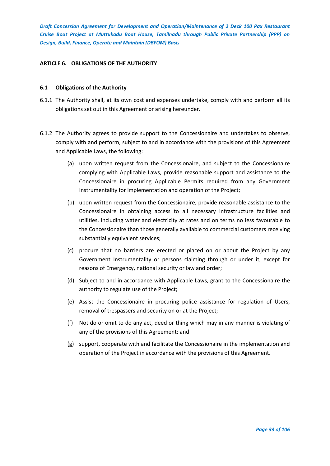## <span id="page-32-0"></span>**ARTICLE 6. OBLIGATIONS OF THE AUTHORITY**

#### <span id="page-32-1"></span>**6.1 Obligations of the Authority**

- 6.1.1 The Authority shall, at its own cost and expenses undertake, comply with and perform all its obligations set out in this Agreement or arising hereunder.
- 6.1.2 The Authority agrees to provide support to the Concessionaire and undertakes to observe, comply with and perform, subject to and in accordance with the provisions of this Agreement and Applicable Laws, the following:
	- (a) upon written request from the Concessionaire, and subject to the Concessionaire complying with Applicable Laws, provide reasonable support and assistance to the Concessionaire in procuring Applicable Permits required from any Government Instrumentality for implementation and operation of the Project;
	- (b) upon written request from the Concessionaire, provide reasonable assistance to the Concessionaire in obtaining access to all necessary infrastructure facilities and utilities, including water and electricity at rates and on terms no less favourable to the Concessionaire than those generally available to commercial customers receiving substantially equivalent services;
	- (c) procure that no barriers are erected or placed on or about the Project by any Government Instrumentality or persons claiming through or under it, except for reasons of Emergency, national security or law and order;
	- (d) Subject to and in accordance with Applicable Laws, grant to the Concessionaire the authority to regulate use of the Project;
	- (e) Assist the Concessionaire in procuring police assistance for regulation of Users, removal of trespassers and security on or at the Project;
	- (f) Not do or omit to do any act, deed or thing which may in any manner is violating of any of the provisions of this Agreement; and
	- (g) support, cooperate with and facilitate the Concessionaire in the implementation and operation of the Project in accordance with the provisions of this Agreement.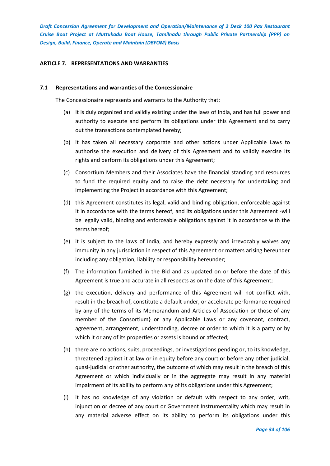## <span id="page-33-0"></span>**ARTICLE 7. REPRESENTATIONS AND WARRANTIES**

#### <span id="page-33-1"></span>**7.1 Representations and warranties of the Concessionaire**

The Concessionaire represents and warrants to the Authority that:

- (a) It is duly organized and validly existing under the laws of India, and has full power and authority to execute and perform its obligations under this Agreement and to carry out the transactions contemplated hereby;
- (b) it has taken all necessary corporate and other actions under Applicable Laws to authorise the execution and delivery of this Agreement and to validly exercise its rights and perform its obligations under this Agreement;
- (c) Consortium Members and their Associates have the financial standing and resources to fund the required equity and to raise the debt necessary for undertaking and implementing the Project in accordance with this Agreement;
- (d) this Agreement constitutes its legal, valid and binding obligation, enforceable against it in accordance with the terms hereof, and its obligations under this Agreement -will be legally valid, binding and enforceable obligations against it in accordance with the terms hereof;
- (e) it is subject to the laws of India, and hereby expressly and irrevocably waives any immunity in any jurisdiction in respect of this Agreement or matters arising hereunder including any obligation, liability or responsibility hereunder;
- (f) The information furnished in the Bid and as updated on or before the date of this Agreement is true and accurate in all respects as on the date of this Agreement;
- (g) the execution, delivery and performance of this Agreement will not conflict with, result in the breach of, constitute a default under, or accelerate performance required by any of the terms of its Memorandum and Articles of Association or those of any member of the Consortium} or any Applicable Laws or any covenant, contract, agreement, arrangement, understanding, decree or order to which it is a party or by which it or any of its properties or assets is bound or affected;
- (h) there are no actions, suits, proceedings, or investigations pending or, to its knowledge, threatened against it at law or in equity before any court or before any other judicial, quasi-judicial or other authority, the outcome of which may result in the breach of this Agreement or which individually or in the aggregate may result in any material impairment of its ability to perform any of its obligations under this Agreement;
- (i) it has no knowledge of any violation or default with respect to any order, writ, injunction or decree of any court or Government Instrumentality which may result in any material adverse effect on its ability to perform its obligations under this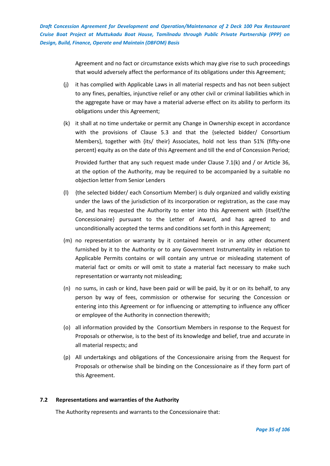> Agreement and no fact or circumstance exists which may give rise to such proceedings that would adversely affect the performance of its obligations under this Agreement;

- (j) it has complied with Applicable Laws in all material respects and has not been subject to any fines, penalties, injunctive relief or any other civil or criminal liabilities which in the aggregate have or may have a material adverse effect on its ability to perform its obligations under this Agreement;
- (k) it shall at no time undertake or permit any Change in Ownership except in accordance with the provisions of Clause 5.3 and that the {selected bidder/ Consortium Members}, together with {its/ their} Associates, hold not less than 51% (fifty-one percent) equity as on the date of this Agreement and till the end of Concession Period;

Provided further that any such request made under Clause 7.1(k) and / or Article 36, at the option of the Authority, may be required to be accompanied by a suitable no objection letter from Senior Lenders

- (l) {the selected bidder/ each Consortium Member} is duly organized and validly existing under the laws of the jurisdiction of its incorporation or registration, as the case may be, and has requested the Authority to enter into this Agreement with {itself/the Concessionaire} pursuant to the Letter of Award, and has agreed to and unconditionally accepted the terms and conditions set forth in this Agreement;
- (m) no representation or warranty by it contained herein or in any other document furnished by it to the Authority or to any Government Instrumentality in relation to Applicable Permits contains or will contain any untrue or misleading statement of material fact or omits or will omit to state a material fact necessary to make such representation or warranty not misleading;
- (n) no sums, in cash or kind, have been paid or will be paid, by it or on its behalf, to any person by way of fees, commission or otherwise for securing the Concession or entering into this Agreement or for influencing or attempting to influence any officer or employee of the Authority in connection therewith;
- (o) all information provided by the Consortium Members in response to the Request for Proposals or otherwise, is to the best of its knowledge and belief, true and accurate in all material respects; and
- (p) All undertakings and obligations of the Concessionaire arising from the Request for Proposals or otherwise shall be binding on the Concessionaire as if they form part of this Agreement.

# <span id="page-34-0"></span>**7.2 Representations and warranties of the Authority**

The Authority represents and warrants to the Concessionaire that: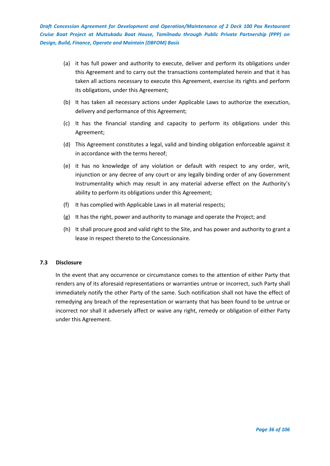- (a) it has full power and authority to execute, deliver and perform its obligations under this Agreement and to carry out the transactions contemplated herein and that it has taken all actions necessary to execute this Agreement, exercise its rights and perform its obligations, under this Agreement;
- (b) It has taken all necessary actions under Applicable Laws to authorize the execution, delivery and performance of this Agreement;
- (c) It has the financial standing and capacity to perform its obligations under this Agreement;
- (d) This Agreement constitutes a legal, valid and binding obligation enforceable against it in accordance with the terms hereof;
- (e) it has no knowledge of any violation or default with respect to any order, writ, injunction or any decree of any court or any legally binding order of any Government Instrumentality which may result in any material adverse effect on the Authority's ability to perform its obligations under this Agreement;
- (f) It has complied with Applicable Laws in all material respects;
- (g) It has the right, power and authority to manage and operate the Project; and
- (h) It shall procure good and valid right to the Site, and has power and authority to grant a lease in respect thereto to the Concessionaire.

#### <span id="page-35-0"></span>**7.3 Disclosure**

In the event that any occurrence or circumstance comes to the attention of either Party that renders any of its aforesaid representations or warranties untrue or incorrect, such Party shall immediately notify the other Party of the same. Such notification shall not have the effect of remedying any breach of the representation or warranty that has been found to be untrue or incorrect nor shall it adversely affect or waive any right, remedy or obligation of either Party under this Agreement.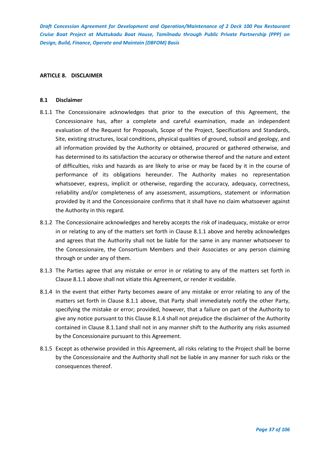## **ARTICLE 8. DISCLAIMER**

#### **8.1 Disclaimer**

- 8.1.1 The Concessionaire acknowledges that prior to the execution of this Agreement, the Concessionaire has, after a complete and careful examination, made an independent evaluation of the Request for Proposals, Scope of the Project, Specifications and Standards, Site, existing structures, local conditions, physical qualities of ground, subsoil and geology, and all information provided by the Authority or obtained, procured or gathered otherwise, and has determined to its satisfaction the accuracy or otherwise thereof and the nature and extent of difficulties, risks and hazards as are likely to arise or may be faced by it in the course of performance of its obligations hereunder. The Authority makes no representation whatsoever, express, implicit or otherwise, regarding the accuracy, adequacy, correctness, reliability and/or completeness of any assessment, assumptions, statement or information provided by it and the Concessionaire confirms that it shall have no claim whatsoever against the Authority in this regard.
- 8.1.2 The Concessionaire acknowledges and hereby accepts the risk of inadequacy, mistake or error in or relating to any of the matters set forth in Clause 8.1.1 above and hereby acknowledges and agrees that the Authority shall not be liable for the same in any manner whatsoever to the Concessionaire, the Consortium Members and their Associates or any person claiming through or under any of them.
- 8.1.3 The Parties agree that any mistake or error in or relating to any of the matters set forth in Clause 8.1.1 above shall not vitiate this Agreement, or render it voidable.
- 8.1.4 In the event that either Party becomes aware of any mistake or error relating to any of the matters set forth in Clause 8.1.1 above, that Party shall immediately notify the other Party, specifying the mistake or error; provided, however, that a failure on part of the Authority to give any notice pursuant to this Clause 8.1.4 shall not prejudice the disclaimer of the Authority contained in Clause 8.1.1and shall not in any manner shift to the Authority any risks assumed by the Concessionaire pursuant to this Agreement.
- 8.1.5 Except as otherwise provided in this Agreement, all risks relating to the Project shall be borne by the Concessionaire and the Authority shall not be liable in any manner for such risks or the consequences thereof.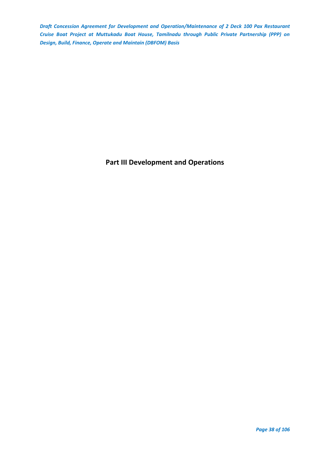**Part III Development and Operations**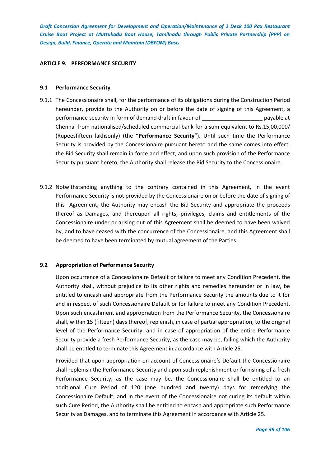### **ARTICLE 9. PERFORMANCE SECURITY**

## **9.1 Performance Security**

- 9.1.1 The Concessionaire shall, for the performance of its obligations during the Construction Period hereunder, provide to the Authority on or before the date of signing of this Agreement, a performance security in form of demand draft in favour of \_\_\_\_\_\_\_\_\_\_\_\_\_\_\_\_\_\_\_\_ payable at Chennai from nationalised/scheduled commercial bank for a sum equivalent to Rs.15,00,000/ (Rupeesfifteen lakhsonly) (the "**Performance Security**"). Until such time the Performance Security is provided by the Concessionaire pursuant hereto and the same comes into effect, the Bid Security shall remain in force and effect, and upon such provision of the Performance Security pursuant hereto, the Authority shall release the Bid Security to the Concessionaire.
- 9.1.2 Notwithstanding anything to the contrary contained in this Agreement, in the event Performance Security is not provided by the Concessionaire on or before the date of signing of this Agreement, the Authority may encash the Bid Security and appropriate the proceeds thereof as Damages, and thereupon all rights, privileges, claims and entitlements of the Concessionaire under or arising out of this Agreement shall be deemed to have been waived by, and to have ceased with the concurrence of the Concessionaire, and this Agreement shall be deemed to have been terminated by mutual agreement of the Parties.

# **9.2 Appropriation of Performance Security**

Upon occurrence of a Concessionaire Default or failure to meet any Condition Precedent, the Authority shall, without prejudice to its other rights and remedies hereunder or in law, be entitled to encash and appropriate from the Performance Security the amounts due to it for and in respect of such Concessionaire Default or for failure to meet any Condition Precedent. Upon such encashment and appropriation from the Performance Security, the Concessionaire shall, within 15 (fifteen) days thereof, replenish, in case of partial appropriation, to the original level of the Performance Security, and in case of appropriation of the entire Performance Security provide a fresh Performance Security, as the case may be, failing which the Authority shall be entitled to terminate this Agreement in accordance with Article 25.

Provided that upon appropriation on account of Concessionaire's Default the Concessionaire shall replenish the Performance Security and upon such replenishment or furnishing of a fresh Performance Security, as the case may be, the Concessionaire shall be entitled to an additional Cure Period of 120 (one hundred and twenty) days for remedying the Concessionaire Default, and in the event of the Concessionaire not curing its default within such Cure Period, the Authority shall be entitled to encash and appropriate such Performance Security as Damages, and to terminate this Agreement in accordance with Article 25.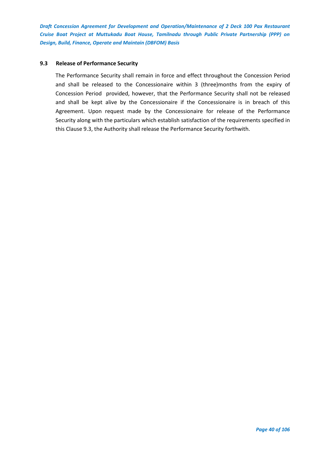## **9.3 Release of Performance Security**

The Performance Security shall remain in force and effect throughout the Concession Period and shall be released to the Concessionaire within 3 (three)months from the expiry of Concession Period provided, however, that the Performance Security shall not be released and shall be kept alive by the Concessionaire if the Concessionaire is in breach of this Agreement. Upon request made by the Concessionaire for release of the Performance Security along with the particulars which establish satisfaction of the requirements specified in this Clause 9.3, the Authority shall release the Performance Security forthwith.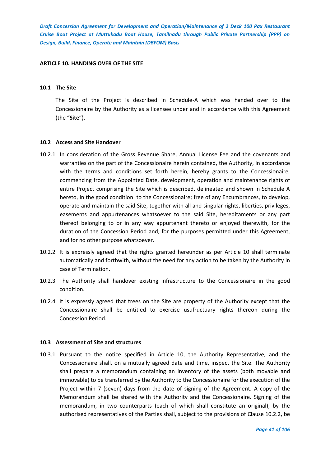#### **ARTICLE 10. HANDING OVER OF THE SITE**

## **10.1 The Site**

The Site of the Project is described in Schedule-A which was handed over to the Concessionaire by the Authority as a licensee under and in accordance with this Agreement (the "**Site**").

#### **10.2 Access and Site Handover**

- 10.2.1 In consideration of the Gross Revenue Share, Annual License Fee and the covenants and warranties on the part of the Concessionaire herein contained, the Authority, in accordance with the terms and conditions set forth herein, hereby grants to the Concessionaire, commencing from the Appointed Date, development, operation and maintenance rights of entire Project comprising the Site which is described, delineated and shown in Schedule A hereto, in the good condition to the Concessionaire; free of any Encumbrances, to develop, operate and maintain the said Site, together with all and singular rights, liberties, privileges, easements and appurtenances whatsoever to the said Site, hereditaments or any part thereof belonging to or in any way appurtenant thereto or enjoyed therewith, for the duration of the Concession Period and, for the purposes permitted under this Agreement, and for no other purpose whatsoever.
- 10.2.2 It is expressly agreed that the rights granted hereunder as per Article 10 shall terminate automatically and forthwith, without the need for any action to be taken by the Authority in case of Termination.
- 10.2.3 The Authority shall handover existing infrastructure to the Concessionaire in the good condition.
- 10.2.4 It is expressly agreed that trees on the Site are property of the Authority except that the Concessionaire shall be entitled to exercise usufructuary rights thereon during the Concession Period.

#### **10.3 Assessment of Site and structures**

10.3.1 Pursuant to the notice specified in Article 10, the Authority Representative, and the Concessionaire shall, on a mutually agreed date and time, inspect the Site. The Authority shall prepare a memorandum containing an inventory of the assets (both movable and immovable) to be transferred by the Authority to the Concessionaire for the execution of the Project within 7 (seven) days from the date of signing of the Agreement. A copy of the Memorandum shall be shared with the Authority and the Concessionaire. Signing of the memorandum, in two counterparts (each of which shall constitute an original), by the authorised representatives of the Parties shall, subject to the provisions of Clause 10.2.2, be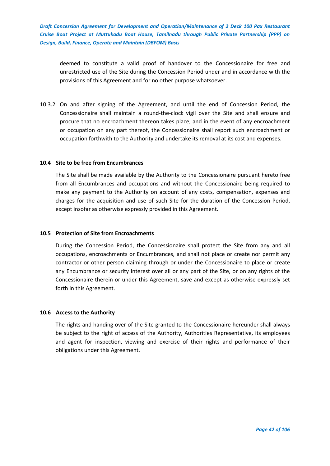deemed to constitute a valid proof of handover to the Concessionaire for free and unrestricted use of the Site during the Concession Period under and in accordance with the provisions of this Agreement and for no other purpose whatsoever.

10.3.2 On and after signing of the Agreement, and until the end of Concession Period, the Concessionaire shall maintain a round-the-clock vigil over the Site and shall ensure and procure that no encroachment thereon takes place, and in the event of any encroachment or occupation on any part thereof, the Concessionaire shall report such encroachment or occupation forthwith to the Authority and undertake its removal at its cost and expenses.

#### **10.4 Site to be free from Encumbrances**

The Site shall be made available by the Authority to the Concessionaire pursuant hereto free from all Encumbrances and occupations and without the Concessionaire being required to make any payment to the Authority on account of any costs, compensation, expenses and charges for the acquisition and use of such Site for the duration of the Concession Period, except insofar as otherwise expressly provided in this Agreement.

## **10.5 Protection of Site from Encroachments**

During the Concession Period, the Concessionaire shall protect the Site from any and all occupations, encroachments or Encumbrances, and shall not place or create nor permit any contractor or other person claiming through or under the Concessionaire to place or create any Encumbrance or security interest over all or any part of the Site, or on any rights of the Concessionaire therein or under this Agreement, save and except as otherwise expressly set forth in this Agreement.

# **10.6 Access to the Authority**

The rights and handing over of the Site granted to the Concessionaire hereunder shall always be subject to the right of access of the Authority, Authorities Representative, its employees and agent for inspection, viewing and exercise of their rights and performance of their obligations under this Agreement.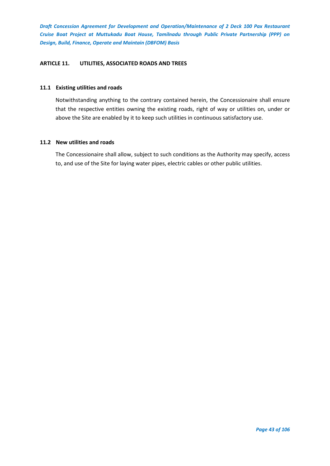## **ARTICLE 11. UTILITIES, ASSOCIATED ROADS AND TREES**

## **11.1 Existing utilities and roads**

Notwithstanding anything to the contrary contained herein, the Concessionaire shall ensure that the respective entities owning the existing roads, right of way or utilities on, under or above the Site are enabled by it to keep such utilities in continuous satisfactory use.

# **11.2 New utilities and roads**

The Concessionaire shall allow, subject to such conditions as the Authority may specify, access to, and use of the Site for laying water pipes, electric cables or other public utilities.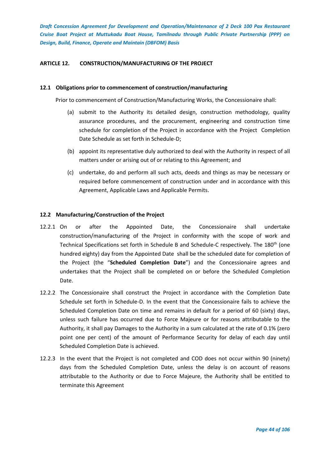# **ARTICLE 12. CONSTRUCTION/MANUFACTURING OF THE PROJECT**

#### **12.1 Obligations prior to commencement of construction/manufacturing**

Prior to commencement of Construction/Manufacturing Works, the Concessionaire shall:

- (a) submit to the Authority its detailed design, construction methodology, quality assurance procedures, and the procurement, engineering and construction time schedule for completion of the Project in accordance with the Project Completion Date Schedule as set forth in Schedule-D;
- (b) appoint its representative duly authorized to deal with the Authority in respect of all matters under or arising out of or relating to this Agreement; and
- (c) undertake, do and perform all such acts, deeds and things as may be necessary or required before commencement of construction under and in accordance with this Agreement, Applicable Laws and Applicable Permits.

## **12.2 Manufacturing/Construction of the Project**

- 12.2.1 On or after the Appointed Date, the Concessionaire shall undertake construction/manufacturing of the Project in conformity with the scope of work and Technical Specifications set forth in Schedule B and Schedule-C respectively. The 180<sup>th</sup> (one hundred eighty) day from the Appointed Date shall be the scheduled date for completion of the Project (the "**Scheduled Completion Date**") and the Concessionaire agrees and undertakes that the Project shall be completed on or before the Scheduled Completion Date.
- 12.2.2 The Concessionaire shall construct the Project in accordance with the Completion Date Schedule set forth in Schedule-D. In the event that the Concessionaire fails to achieve the Scheduled Completion Date on time and remains in default for a period of 60 (sixty) days, unless such failure has occurred due to Force Majeure or for reasons attributable to the Authority, it shall pay Damages to the Authority in a sum calculated at the rate of 0.1% (zero point one per cent) of the amount of Performance Security for delay of each day until Scheduled Completion Date is achieved.
- 12.2.3 In the event that the Project is not completed and COD does not occur within 90 (ninety) days from the Scheduled Completion Date, unless the delay is on account of reasons attributable to the Authority or due to Force Majeure, the Authority shall be entitled to terminate this Agreement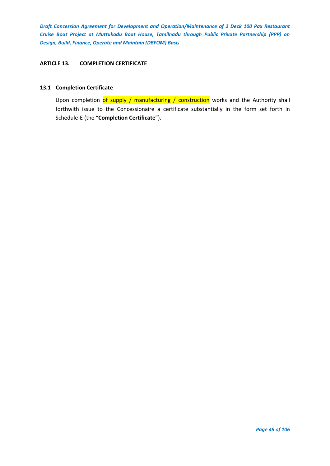## **ARTICLE 13. COMPLETION CERTIFICATE**

### **13.1 Completion Certificate**

Upon completion of supply / manufacturing / construction works and the Authority shall forthwith issue to the Concessionaire a certificate substantially in the form set forth in Schedule-E (the "**Completion Certificate**").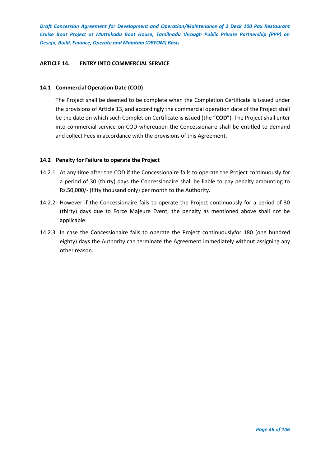## **ARTICLE 14. ENTRY INTO COMMERCIAL SERVICE**

## **14.1 Commercial Operation Date (COD)**

The Project shall be deemed to be complete when the Completion Certificate is issued under the provisions of Article 13, and accordingly the commercial operation date of the Project shall be the date on which such Completion Certificate is issued (the "**COD**"). The Project shall enter into commercial service on COD whereupon the Concessionaire shall be entitled to demand and collect Fees in accordance with the provisions of this Agreement.

## **14.2 Penalty for Failure to operate the Project**

- 14.2.1 At any time after the COD if the Concessionaire fails to operate the Project continuously for a period of 30 (thirty) days the Concessionaire shall be liable to pay penalty amounting to Rs.50,000/- (fifty thousand only) per month to the Authority.
- 14.2.2 However if the Concessionaire fails to operate the Project continuously for a period of 30 (thirty) days due to Force Majeure Event; the penalty as mentioned above shall not be applicable.
- 14.2.3 In case the Concessionaire fails to operate the Project continuouslyfor 180 (one hundred eighty) days the Authority can terminate the Agreement immediately without assigning any other reason.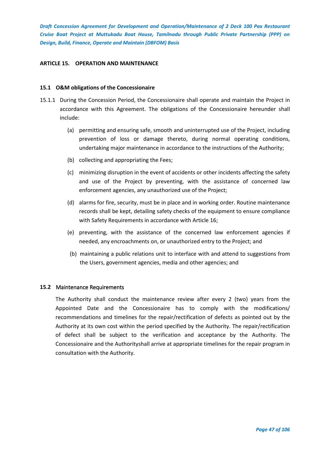### **ARTICLE 15. OPERATION AND MAINTENANCE**

### **15.1 O&M obligations of the Concessionaire**

- 15.1.1 During the Concession Period, the Concessionaire shall operate and maintain the Project in accordance with this Agreement. The obligations of the Concessionaire hereunder shall include:
	- (a) permitting and ensuring safe, smooth and uninterrupted use of the Project, including prevention of loss or damage thereto, during normal operating conditions, undertaking major maintenance in accordance to the instructions of the Authority;
	- (b) collecting and appropriating the Fees;
	- (c) minimizing disruption in the event of accidents or other incidents affecting the safety and use of the Project by preventing, with the assistance of concerned law enforcement agencies, any unauthorized use of the Project;
	- (d) alarms for fire, security, must be in place and in working order. Routine maintenance records shall be kept, detailing safety checks of the equipment to ensure compliance with Safety Requirements in accordance with Article 16;
	- (e) preventing, with the assistance of the concerned law enforcement agencies if needed, any encroachments on, or unauthorized entry to the Project; and
	- (b) maintaining a public relations unit to interface with and attend to suggestions from the Users, government agencies, media and other agencies; and

#### **15.2** Maintenance Requirements

The Authority shall conduct the maintenance review after every 2 (two) years from the Appointed Date and the Concessionaire has to comply with the modifications/ recommendations and timelines for the repair/rectification of defects as pointed out by the Authority at its own cost within the period specified by the Authority. The repair/rectification of defect shall be subject to the verification and acceptance by the Authority. The Concessionaire and the Authorityshall arrive at appropriate timelines for the repair program in consultation with the Authority.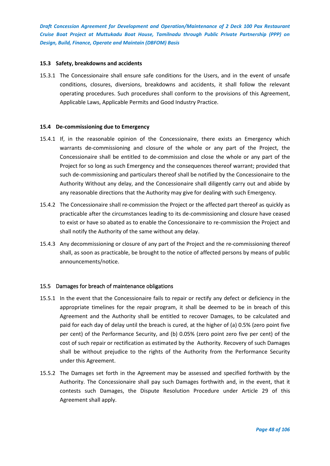### **15.3 Safety, breakdowns and accidents**

15.3.1 The Concessionaire shall ensure safe conditions for the Users, and in the event of unsafe conditions, closures, diversions, breakdowns and accidents, it shall follow the relevant operating procedures. Such procedures shall conform to the provisions of this Agreement, Applicable Laws, Applicable Permits and Good Industry Practice.

#### **15.4 De-commissioning due to Emergency**

- 15.4.1 If, in the reasonable opinion of the Concessionaire, there exists an Emergency which warrants de-commissioning and closure of the whole or any part of the Project, the Concessionaire shall be entitled to de-commission and close the whole or any part of the Project for so long as such Emergency and the consequences thereof warrant; provided that such de-commissioning and particulars thereof shall be notified by the Concessionaire to the Authority Without any delay, and the Concessionaire shall diligently carry out and abide by any reasonable directions that the Authority may give for dealing with such Emergency.
- 15.4.2 The Concessionaire shall re-commission the Project or the affected part thereof as quickly as practicable after the circumstances leading to its de-commissioning and closure have ceased to exist or have so abated as to enable the Concessionaire to re-commission the Project and shall notify the Authority of the same without any delay.
- 15.4.3 Any decommissioning or closure of any part of the Project and the re-commissioning thereof shall, as soon as practicable, be brought to the notice of affected persons by means of public announcements/notice.

# 15.5 Damages for breach of maintenance obligations

- 15.5.1 In the event that the Concessionaire fails to repair or rectify any defect or deficiency in the appropriate timelines for the repair program, it shall be deemed to be in breach of this Agreement and the Authority shall be entitled to recover Damages, to be calculated and paid for each day of delay until the breach is cured, at the higher of (a) 0.5% (zero point five per cent) of the Performance Security, and (b) 0.05% (zero point zero five per cent) of the cost of such repair or rectification as estimated by the Authority. Recovery of such Damages shall be without prejudice to the rights of the Authority from the Performance Security under this Agreement.
- 15.5.2 The Damages set forth in the Agreement may be assessed and specified forthwith by the Authority. The Concessionaire shall pay such Damages forthwith and, in the event, that it contests such Damages, the Dispute Resolution Procedure under Article 29 of this Agreement shall apply.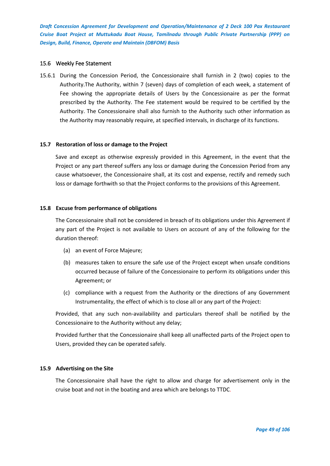### 15.6 Weekly Fee Statement

15.6.1 During the Concession Period, the Concessionaire shall furnish in 2 (two) copies to the Authority.The Authority, within 7 (seven) days of completion of each week, a statement of Fee showing the appropriate details of Users by the Concessionaire as per the format prescribed by the Authority. The Fee statement would be required to be certified by the Authority. The Concessionaire shall also furnish to the Authority such other information as the Authority may reasonably require, at specified intervals, in discharge of its functions.

#### **15.7 Restoration of loss or damage to the Project**

Save and except as otherwise expressly provided in this Agreement, in the event that the Project or any part thereof suffers any loss or damage during the Concession Period from any cause whatsoever, the Concessionaire shall, at its cost and expense, rectify and remedy such loss or damage forthwith so that the Project conforms to the provisions of this Agreement.

## **15.8 Excuse from performance of obligations**

The Concessionaire shall not be considered in breach of its obligations under this Agreement if any part of the Project is not available to Users on account of any of the following for the duration thereof:

- (a) an event of Force Majeure;
- (b) measures taken to ensure the safe use of the Project except when unsafe conditions occurred because of failure of the Concessionaire to perform its obligations under this Agreement; or
- (c) compliance with a request from the Authority or the directions of any Government Instrumentality, the effect of which is to close all or any part of the Project:

Provided, that any such non-availability and particulars thereof shall be notified by the Concessionaire to the Authority without any delay;

Provided further that the Concessionaire shall keep all unaffected parts of the Project open to Users, provided they can be operated safely.

## **15.9 Advertising on the Site**

The Concessionaire shall have the right to allow and charge for advertisement only in the cruise boat and not in the boating and area which are belongs to TTDC.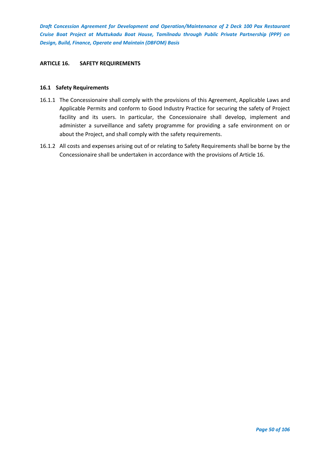## **ARTICLE 16. SAFETY REQUIREMENTS**

### **16.1 Safety Requirements**

- 16.1.1 The Concessionaire shall comply with the provisions of this Agreement, Applicable Laws and Applicable Permits and conform to Good Industry Practice for securing the safety of Project facility and its users. In particular, the Concessionaire shall develop, implement and administer a surveillance and safety programme for providing a safe environment on or about the Project, and shall comply with the safety requirements.
- 16.1.2 All costs and expenses arising out of or relating to Safety Requirements shall be borne by the Concessionaire shall be undertaken in accordance with the provisions of Article 16.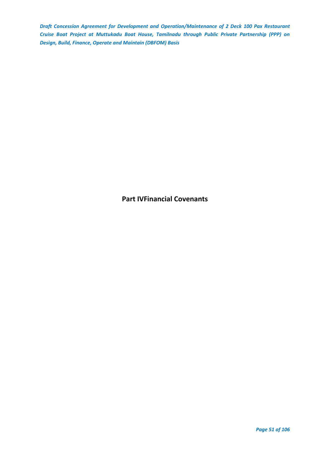**Part IVFinancial Covenants**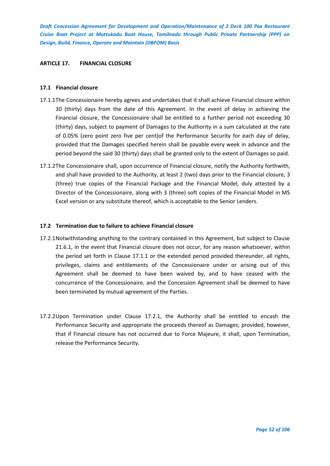### **ARTICLE 17. FINANCIAL CLOSURE**

## **17.1 Financial closure**

- 17.1.1The Concessionaire hereby agrees and undertakes that it shall achieve Financial closure within 30 (thirty) days from the date of this Agreement. In the event of delay in achieving the Financial closure, the Concessionaire shall be entitled to a further period not exceeding 30 (thirty) days, subject to payment of Damages to the Authority in a sum calculated at the rate of 0.05% (zero point zero five per cent)of the Performance Security for each day of delay, provided that the Damages specified herein shall be payable every week in advance and the period beyond the said 30 (thirty) days shall be granted only to the extent of Damages so paid.
- 17.1.2The Concessionaire shall, upon occurrence of Financial closure, notify the Authority forthwith, and shall have provided to the Authority, at least 2 (two) days prior to the Financial closure, 3 (three) true copies of the Financial Package and the Financial Model, duly attested by a Director of the Concessionaire, along with 3 (three) soft copies of the Financial Model in MS Excel version or any substitute thereof, which is acceptable to the Senior Lenders.

## **17.2 Termination due to failure to achieve Financial closure**

- 17.2.1Notwithstanding anything to the contrary contained in this Agreement, but subject to Clause 21.6.1, in the event that Financial closure does not occur, for any reason whatsoever, within the period set forth in Clause 17.1.1 or the extended period provided thereunder, all rights, privileges, claims and entitlements of the Concessionaire under or arising out of this Agreement shall be deemed to have been waived by, and to have ceased with the concurrence of the Concessionaire, and the Concession Agreement shall be deemed to have been terminated by mutual agreement of the Parties.
- 17.2.2Upon Termination under Clause 17.2.1, the Authority shall be entitled to encash the Performance Security and appropriate the proceeds thereof as Damages; provided, however, that if Financial closure has not occurred due to Force Majeure, it shall, upon Termination, release the Performance Security.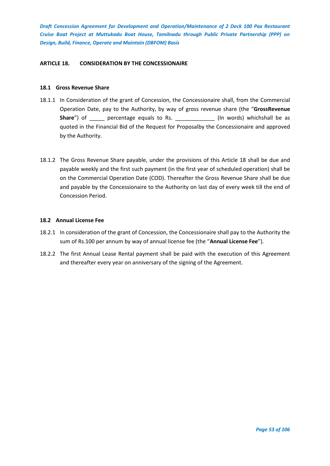## **ARTICLE 18. CONSIDERATION BY THE CONCESSIONAIRE**

### **18.1 Gross Revenue Share**

- 18.1.1 In Consideration of the grant of Concession, the Concessionaire shall, from the Commercial Operation Date, pay to the Authority, by way of gross revenue share (the "**GrossRevenue**  Share") of \_\_\_\_\_ percentage equals to Rs. \_\_\_\_\_\_\_\_\_\_\_\_\_\_ (In words) whichshall be as quoted in the Financial Bid of the Request for Proposalby the Concessionaire and approved by the Authority.
- 18.1.2 The Gross Revenue Share payable, under the provisions of this Article 18 shall be due and payable weekly and the first such payment (in the first year of scheduled operation) shall be on the Commercial Operation Date (COD). Thereafter the Gross Revenue Share shall be due and payable by the Concessionaire to the Authority on last day of every week till the end of Concession Period.

## **18.2 Annual License Fee**

- 18.2.1 In consideration of the grant of Concession, the Concessionaire shall pay to the Authority the sum of Rs.100 per annum by way of annual license fee (the "**Annual License Fee**").
- 18.2.2 The first Annual Lease Rental payment shall be paid with the execution of this Agreement and thereafter every year on anniversary of the signing of the Agreement.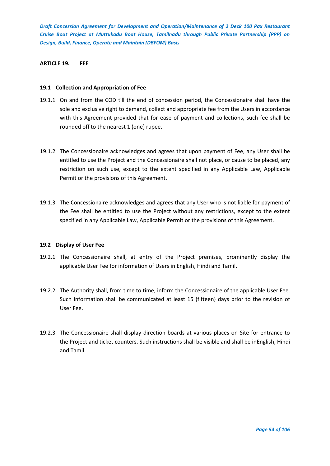# **ARTICLE 19. FEE**

## **19.1 Collection and Appropriation of Fee**

- 19.1.1 On and from the COD till the end of concession period, the Concessionaire shall have the sole and exclusive right to demand, collect and appropriate fee from the Users in accordance with this Agreement provided that for ease of payment and collections, such fee shall be rounded off to the nearest 1 (one) rupee.
- 19.1.2 The Concessionaire acknowledges and agrees that upon payment of Fee, any User shall be entitled to use the Project and the Concessionaire shall not place, or cause to be placed, any restriction on such use, except to the extent specified in any Applicable Law, Applicable Permit or the provisions of this Agreement.
- 19.1.3 The Concessionaire acknowledges and agrees that any User who is not liable for payment of the Fee shall be entitled to use the Project without any restrictions, except to the extent specified in any Applicable Law, Applicable Permit or the provisions of this Agreement.

#### **19.2 Display of User Fee**

- 19.2.1 The Concessionaire shall, at entry of the Project premises, prominently display the applicable User Fee for information of Users in English, Hindi and Tamil.
- 19.2.2 The Authority shall, from time to time, inform the Concessionaire of the applicable User Fee. Such information shall be communicated at least 15 (fifteen) days prior to the revision of User Fee.
- 19.2.3 The Concessionaire shall display direction boards at various places on Site for entrance to the Project and ticket counters. Such instructions shall be visible and shall be inEnglish, Hindi and Tamil.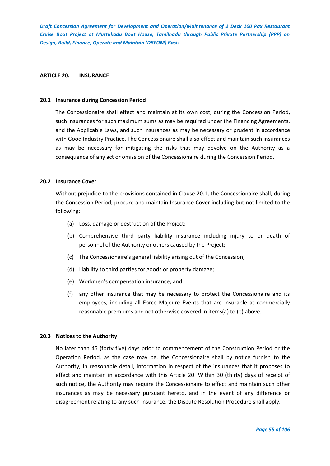#### **ARTICLE 20. INSURANCE**

#### **20.1 Insurance during Concession Period**

The Concessionaire shall effect and maintain at its own cost, during the Concession Period, such insurances for such maximum sums as may be required under the Financing Agreements, and the Applicable Laws, and such insurances as may be necessary or prudent in accordance with Good Industry Practice. The Concessionaire shall also effect and maintain such insurances as may be necessary for mitigating the risks that may devolve on the Authority as a consequence of any act or omission of the Concessionaire during the Concession Period.

#### **20.2 Insurance Cover**

Without prejudice to the provisions contained in Clause 20.1, the Concessionaire shall, during the Concession Period, procure and maintain Insurance Cover including but not limited to the following:

- (a) Loss, damage or destruction of the Project;
- (b) Comprehensive third party liability insurance including injury to or death of personnel of the Authority or others caused by the Project;
- (c) The Concessionaire's general liability arising out of the Concession;
- (d) Liability to third parties for goods or property damage;
- (e) Workmen's compensation insurance; and
- (f) any other insurance that may be necessary to protect the Concessionaire and its employees, including all Force Majeure Events that are insurable at commercially reasonable premiums and not otherwise covered in items(a) to (e) above.

### **20.3 Notices to the Authority**

No later than 45 (forty five) days prior to commencement of the Construction Period or the Operation Period, as the case may be, the Concessionaire shall by notice furnish to the Authority, in reasonable detail, information in respect of the insurances that it proposes to effect and maintain in accordance with this Article 20. Within 30 (thirty) days of receipt of such notice, the Authority may require the Concessionaire to effect and maintain such other insurances as may be necessary pursuant hereto, and in the event of any difference or disagreement relating to any such insurance, the Dispute Resolution Procedure shall apply.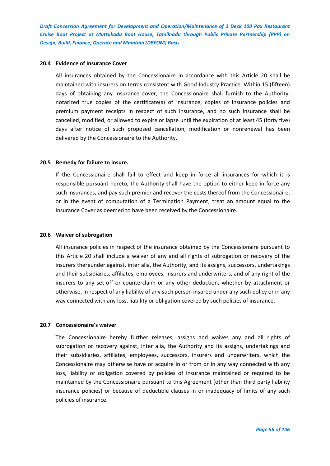#### **20.4 Evidence of Insurance Cover**

All insurances obtained by the Concessionaire in accordance with this Article 20 shall be maintained with insurers on terms consistent with Good Industry Practice. Within 15 (fifteen) days of obtaining any insurance cover, the Concessionaire shall furnish to the Authority, notarized true copies of the certificate(s) of insurance, copies of insurance policies and premium payment receipts in respect of such insurance, and no such insurance shall be cancelled, modified, or allowed to expire or lapse until the expiration of at least 45 (forty five) days after notice of such proposed cancellation, modification or nonrenewal has been delivered by the Concessionaire to the Authority.

#### **20.5 Remedy for failure to insure.**

If the Concessionaire shall fail to effect and keep in force all insurances for which it is responsible pursuant hereto, the Authority shall have the option to either keep in force any such insurances, and pay such premier and recover the costs thereof from the Concessionaire, or in the event of computation of a Termination Payment, treat an amount equal to the Insurance Cover as deemed to have been received by the Concessionaire.

### **20.6 Waiver of subrogation**

All insurance policies in respect of the insurance obtained by the Concessionaire pursuant to this Article 20 shall include a waiver of any and all rights of subrogation or recovery of the insurers thereunder against, inter alia, the Authority, and its assigns, successors, undertakings and their subsidiaries, affiliates, employees, insurers and underwriters, and of any right of the insurers to any set-off or counterclaim or any other deduction, whether by attachment or otherwise, in respect of any liability of any such person insured under any such policy or in any way connected with any loss, liability or obligation covered by such policies of insurance.

#### **20.7 Concessionaire's waiver**

The Concessionaire hereby further releases, assigns and waives any and all rights of subrogation or recovery against, inter alia, the Authority and its assigns, undertakings and their subsidiaries, affiliates, employees, successors, insurers and underwriters, which the Concessionaire may otherwise have or acquire in or from or in any way connected with any loss, liability or obligation covered by policies of insurance maintained or required to be maintained by the Concessionaire pursuant to this Agreement (other than third party liability insurance policies) or because of deductible clauses in or inadequacy of limits of any such policies of insurance.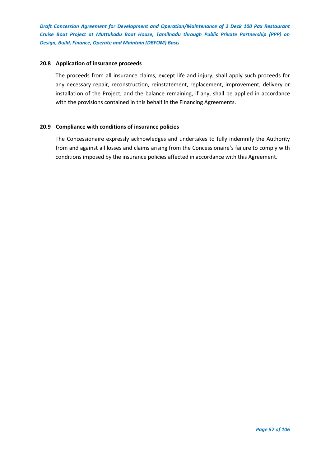## **20.8 Application of insurance proceeds**

The proceeds from all insurance claims, except life and injury, shall apply such proceeds for any necessary repair, reconstruction, reinstatement, replacement, improvement, delivery or installation of the Project, and the balance remaining, if any, shall be applied in accordance with the provisions contained in this behalf in the Financing Agreements.

## **20.9 Compliance with conditions of insurance policies**

The Concessionaire expressly acknowledges and undertakes to fully indemnify the Authority from and against all losses and claims arising from the Concessionaire's failure to comply with conditions imposed by the insurance policies affected in accordance with this Agreement.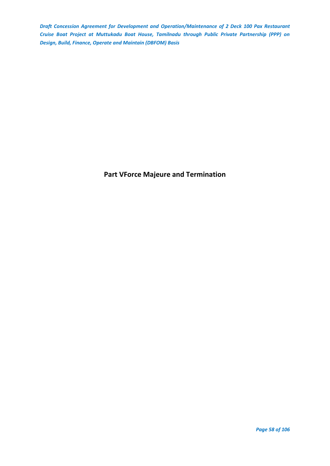**Part VForce Majeure and Termination**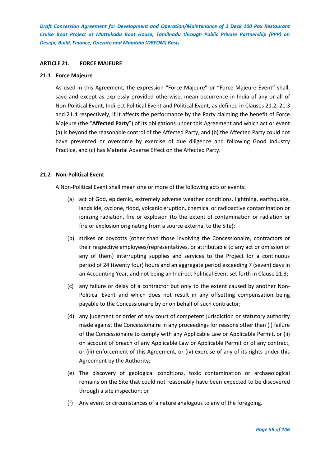### **ARTICLE 21. FORCE MAJEURE**

#### **21.1 Force Majeure**

As used in this Agreement, the expression "Force Majeure" or "Force Majeure Event" shall, save and except as expressly provided otherwise, mean occurrence in India of any or all of Non-Political Event, Indirect Political Event and Political Event, as defined in Clauses 21.2, 21.3 and 21.4 respectively, if it affects the performance by the Party claiming the benefit of Force Majeure (the "**Affected Party**") of its obligations under this Agreement and which act or event (a) is beyond the reasonable control of the Affected Party, and (b) the Affected Party could not have prevented or overcome by exercise of due diligence and following Good Industry Practice, and (c) has Material Adverse Effect on the Affected Party.

## **21.2 Non-Political Event**

A Non-Political Event shall mean one or more of the following acts or events:

- (a) act of God, epidemic, extremely adverse weather conditions, lightning, earthquake, landslide, cyclone, flood, volcanic eruption, chemical or radioactive contamination or ionizing radiation, fire or explosion (to the extent of contamination or radiation or fire or explosion originating from a source external to the Site);
- (b) strikes or boycotts (other than those involving the Concessionaire, contractors or their respective employees/representatives, or attributable to any act or omission of any of them) interrupting supplies and services to the Project for a continuous period of 24 (twenty four) hours and an aggregate period exceeding 7 (seven) days in an Accounting Year, and not being an Indirect Political Event set forth in Clause 21.3;
- (c) any failure or delay of a contractor but only to the extent caused by another Non-Political Event and which does not result in any offsetting compensation being payable to the Concessionaire by or on behalf of such contractor;
- (d) any judgment or order of any court of competent jurisdiction or statutory authority made against the Concessionaire in any proceedings for reasons other than (i) failure of the Concessionaire to comply with any Applicable Law or Applicable Permit, or (ii) on account of breach of any Applicable Law or Applicable Permit or of any contract, or (iii) enforcement of this Agreement, or (iv) exercise of any of its rights under this Agreement by the Authority;
- (e) The discovery of geological conditions, toxic contamination or archaeological remains on the Site that could not reasonably have been expected to be discovered through a site inspection; or
- (f) Any event or circumstances of a nature analogous to any of the foregoing.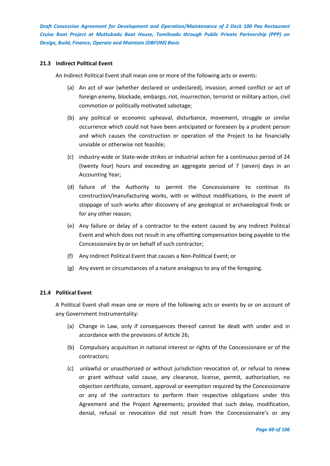## **21.3 Indirect Political Event**

An Indirect Political Event shall mean one or more of the following acts or events:

- (a) An act of war (whether declared or undeclared), invasion, armed conflict or act of foreign enemy, blockade, embargo, riot, insurrection, terrorist or military action, civil commotion or politically motivated sabotage;
- (b) any political or economic upheaval, disturbance, movement, struggle or similar occurrence which could not have been anticipated or foreseen by a prudent person and which causes the construction or operation of the Project to be financially unviable or otherwise not feasible;
- (c) industry-wide or State-wide strikes or industrial action for a continuous period of 24 (twenty four) hours and exceeding an aggregate period of 7 (seven) days in an Accounting Year;
- (d) failure of the Authority to permit the Concessionaire to continue its construction/manufacturing works, with or without modifications, in the event of stoppage of such works after discovery of any geological or archaeological finds or for any other reason;
- (e) Any failure or delay of a contractor to the extent caused by any Indirect Political Event and which does not result in any offsetting compensation being payable to the Concessionaire by or on behalf of such contractor;
- (f) Any Indirect Political Event that causes a Non-Political Event; or
- (g) Any event or circumstances of a nature analogous to any of the foregoing.

# **21.4 Political Event**

A Political Event shall mean one or more of the following acts or events by or on account of any Government Instrumentality:

- (a) Change in Law, only if consequences thereof cannot be dealt with under and in accordance with the provisions of Article 26;
- (b) Compulsory acquisition in national interest or rights of the Concessionaire or of the contractors;
- (c) unlawful or unauthorized or without jurisdiction revocation of, or refusal to renew or grant without valid cause, any clearance, license, permit, authorization, no objection certificate, consent, approval or exemption required by the Concessionaire or any of the contractors to perform their respective obligations under this Agreement and the Project Agreements; provided that such delay, modification, denial, refusal or revocation did not result from the Concessionaire's or any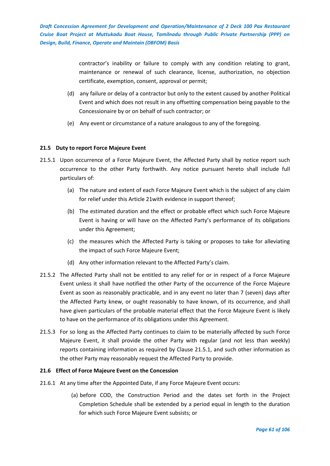> contractor's inability or failure to comply with any condition relating to grant, maintenance or renewal of such clearance, license, authorization, no objection certificate, exemption, consent, approval or permit;

- (d) any failure or delay of a contractor but only to the extent caused by another Political Event and which does not result in any offsetting compensation being payable to the Concessionaire by or on behalf of such contractor; or
- (e) Any event or circumstance of a nature analogous to any of the foregoing.

# **21.5 Duty to report Force Majeure Event**

- 21.5.1 Upon occurrence of a Force Majeure Event, the Affected Party shall by notice report such occurrence to the other Party forthwith. Any notice pursuant hereto shall include full particulars of:
	- (a) The nature and extent of each Force Majeure Event which is the subject of any claim for relief under this Article 21with evidence in support thereof;
	- (b) The estimated duration and the effect or probable effect which such Force Majeure Event is having or will have on the Affected Party's performance of its obligations under this Agreement;
	- (c) the measures which the Affected Party is taking or proposes to take for alleviating the impact of such Force Majeure Event;
	- (d) Any other information relevant to the Affected Party's claim.
- 21.5.2 The Affected Party shall not be entitled to any relief for or in respect of a Force Majeure Event unless it shall have notified the other Party of the occurrence of the Force Majeure Event as soon as reasonably practicable, and in any event no later than 7 (seven) days after the Affected Party knew, or ought reasonably to have known, of its occurrence, and shall have given particulars of the probable material effect that the Force Majeure Event is likely to have on the performance of its obligations under this Agreement.
- 21.5.3 For so long as the Affected Party continues to claim to be materially affected by such Force Majeure Event, it shall provide the other Party with regular (and not less than weekly) reports containing information as required by Clause 21.5.1, and such other information as the other Party may reasonably request the Affected Party to provide.

# **21.6 Effect of Force Majeure Event on the Concession**

- 21.6.1 At any time after the Appointed Date, if any Force Majeure Event occurs:
	- (a) before COD, the Construction Period and the dates set forth in the Project Completion Schedule shall be extended by a period equal in length to the duration for which such Force Majeure Event subsists; or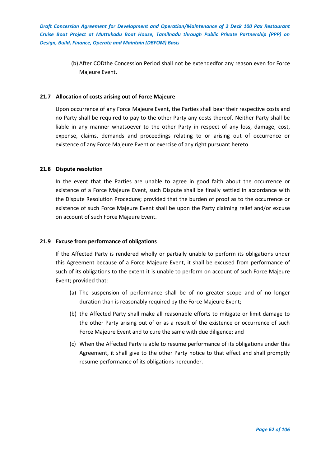> (b) After CODthe Concession Period shall not be extendedfor any reason even for Force Majeure Event.

## **21.7 Allocation of costs arising out of Force Majeure**

Upon occurrence of any Force Majeure Event, the Parties shall bear their respective costs and no Party shall be required to pay to the other Party any costs thereof. Neither Party shall be liable in any manner whatsoever to the other Party in respect of any loss, damage, cost, expense, claims, demands and proceedings relating to or arising out of occurrence or existence of any Force Majeure Event or exercise of any right pursuant hereto.

## **21.8 Dispute resolution**

In the event that the Parties are unable to agree in good faith about the occurrence or existence of a Force Majeure Event, such Dispute shall be finally settled in accordance with the Dispute Resolution Procedure; provided that the burden of proof as to the occurrence or existence of such Force Majeure Event shall be upon the Party claiming relief and/or excuse on account of such Force Majeure Event.

#### **21.9 Excuse from performance of obligations**

If the Affected Party is rendered wholly or partially unable to perform its obligations under this Agreement because of a Force Majeure Event, it shall be excused from performance of such of its obligations to the extent it is unable to perform on account of such Force Majeure Event; provided that:

- (a) The suspension of performance shall be of no greater scope and of no longer duration than is reasonably required by the Force Majeure Event;
- (b) the Affected Party shall make all reasonable efforts to mitigate or limit damage to the other Party arising out of or as a result of the existence or occurrence of such Force Majeure Event and to cure the same with due diligence; and
- (c) When the Affected Party is able to resume performance of its obligations under this Agreement, it shall give to the other Party notice to that effect and shall promptly resume performance of its obligations hereunder.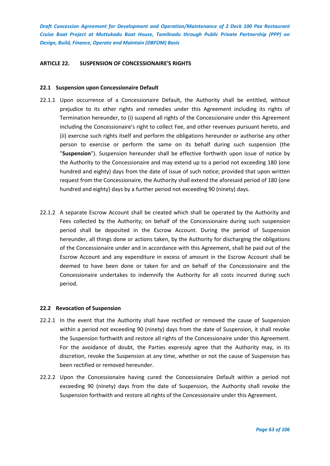## **ARTICLE 22. SUSPENSION OF CONCESSIONAIRE'S RIGHTS**

### **22.1 Suspension upon Concessionaire Default**

- 22.1.1 Upon occurrence of a Concessionaire Default, the Authority shall be entitled, without prejudice to its other rights and remedies under this Agreement including its rights of Termination hereunder, to (i) suspend all rights of the Concessionaire under this Agreement including the Concessionaire's right to collect Fee, and other revenues pursuant hereto, and (ii) exercise such rights itself and perform the obligations hereunder or authorise any other person to exercise or perform the same on its behalf during such suspension (the "**Suspension**"). Suspension hereunder shall be effective forthwith upon issue of notice by the Authority to the Concessionaire and may extend up to a period not exceeding 180 (one hundred and eighty) days from the date of issue of such notice; provided that upon written request from the Concessionaire, the Authority shall extend the aforesaid period of 180 (one hundred and eighty) days by a further period not exceeding 90 (ninety) days.
- 22.1.2 A separate Escrow Account shall be created which shall be operated by the Authority and Fees collected by the Authority; on behalf of the Concessionaire during such suspension period shall be deposited in the Escrow Account. During the period of Suspension hereunder, all things done or actions taken, by the Authority for discharging the obligations of the Concessionaire under and in accordance with this Agreement, shall be paid out of the Escrow Account and any expenditure in excess of amount in the Escrow Account shall be deemed to have been done or taken for and on behalf of the Concessionaire and the Concessionaire undertakes to indemnify the Authority for all costs incurred during such period.

#### **22.2 Revocation of Suspension**

- 22.2.1 In the event that the Authority shall have rectified or removed the cause of Suspension within a period not exceeding 90 (ninety) days from the date of Suspension, it shall revoke the Suspension forthwith and restore all rights of the Concessionaire under this Agreement. For the avoidance of doubt, the Parties expressly agree that the Authority may, in its discretion, revoke the Suspension at any time, whether or not the cause of Suspension has been rectified or removed hereunder.
- 22.2.2 Upon the Concessionaire having cured the Concessionaire Default within a period not exceeding 90 (ninety) days from the date of Suspension, the Authority shall revoke the Suspension forthwith and restore all rights of the Concessionaire under this Agreement.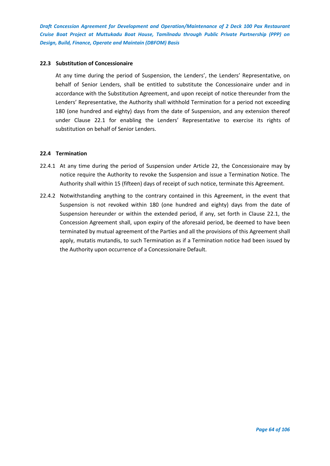## **22.3 Substitution of Concessionaire**

At any time during the period of Suspension, the Lenders', the Lenders' Representative, on behalf of Senior Lenders, shall be entitled to substitute the Concessionaire under and in accordance with the Substitution Agreement, and upon receipt of notice thereunder from the Lenders' Representative, the Authority shall withhold Termination for a period not exceeding 180 (one hundred and eighty) days from the date of Suspension, and any extension thereof under Clause 22.1 for enabling the Lenders' Representative to exercise its rights of substitution on behalf of Senior Lenders.

## **22.4 Termination**

- 22.4.1 At any time during the period of Suspension under Article 22, the Concessionaire may by notice require the Authority to revoke the Suspension and issue a Termination Notice. The Authority shall within 15 (fifteen) days of receipt of such notice, terminate this Agreement.
- 22.4.2 Notwithstanding anything to the contrary contained in this Agreement, in the event that Suspension is not revoked within 180 (one hundred and eighty) days from the date of Suspension hereunder or within the extended period, if any, set forth in Clause 22.1, the Concession Agreement shall, upon expiry of the aforesaid period, be deemed to have been terminated by mutual agreement of the Parties and all the provisions of this Agreement shall apply, mutatis mutandis, to such Termination as if a Termination notice had been issued by the Authority upon occurrence of a Concessionaire Default.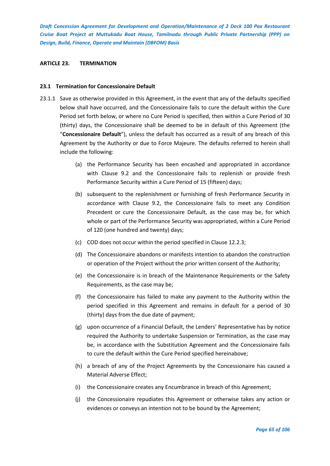### **ARTICLE 23. TERMINATION**

### **23.1 Termination for Concessionaire Default**

- 23.1.1 Save as otherwise provided in this Agreement, in the event that any of the defaults specified below shall have occurred, and the Concessionaire fails to cure the default within the Cure Period set forth below, or where no Cure Period is specified, then within a Cure Period of 30 (thirty) days, the Concessionaire shall be deemed to be in default of this Agreement (the "**Concessionaire Default**"), unless the default has occurred as a result of any breach of this Agreement by the Authority or due to Force Majeure. The defaults referred to herein shall include the following:
	- (a) the Performance Security has been encashed and appropriated in accordance with Clause 9.2 and the Concessionaire fails to replenish or provide fresh Performance Security within a Cure Period of 15 (fifteen) days;
	- (b) subsequent to the replenishment or furnishing of fresh Performance Security in accordance with Clause 9.2, the Concessionaire fails to meet any Condition Precedent or cure the Concessionaire Default, as the case may be, for which whole or part of the Performance Security was appropriated, within a Cure Period of 120 (one hundred and twenty) days;
	- (c) COD does not occur within the period specified in Clause 12.2.3;
	- (d) The Concessionaire abandons or manifests intention to abandon the construction or operation of the Project without the prior written consent of the Authority;
	- (e) the Concessionaire is in breach of the Maintenance Requirements or the Safety Requirements, as the case may be;
	- (f) the Concessionaire has failed to make any payment to the Authority within the period specified in this Agreement and remains in default for a period of 30 (thirty) days from the due date of payment;
	- (g) upon occurrence of a Financial Default, the Lenders' Representative has by notice required the Authority to undertake Suspension or Termination, as the case may be, in accordance with the Substitution Agreement and the Concessionaire fails to cure the default within the Cure Period specified hereinabove;
	- (h) a breach of any of the Project Agreements by the Concessionaire has caused a Material Adverse Effect;
	- (i) the Concessionaire creates any Encumbrance in breach of this Agreement;
	- (j) the Concessionaire repudiates this Agreement or otherwise takes any action or evidences or conveys an intention not to be bound by the Agreement;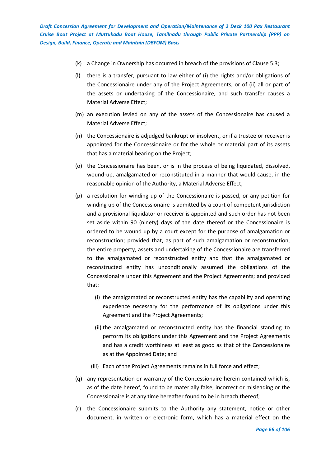- (k) a Change in Ownership has occurred in breach of the provisions of Clause 5.3;
- (l) there is a transfer, pursuant to law either of (i) the rights and/or obligations of the Concessionaire under any of the Project Agreements, or of (ii) all or part of the assets or undertaking of the Concessionaire, and such transfer causes a Material Adverse Effect;
- (m) an execution levied on any of the assets of the Concessionaire has caused a Material Adverse Effect;
- (n) the Concessionaire is adjudged bankrupt or insolvent, or if a trustee or receiver is appointed for the Concessionaire or for the whole or material part of its assets that has a material bearing on the Project;
- (o) the Concessionaire has been, or is in the process of being liquidated, dissolved, wound-up, amalgamated or reconstituted in a manner that would cause, in the reasonable opinion of the Authority, a Material Adverse Effect;
- (p) a resolution for winding up of the Concessionaire is passed, or any petition for winding up of the Concessionaire is admitted by a court of competent jurisdiction and a provisional liquidator or receiver is appointed and such order has not been set aside within 90 (ninety) days of the date thereof or the Concessionaire is ordered to be wound up by a court except for the purpose of amalgamation or reconstruction; provided that, as part of such amalgamation or reconstruction, the entire property, assets and undertaking of the Concessionaire are transferred to the amalgamated or reconstructed entity and that the amalgamated or reconstructed entity has unconditionally assumed the obligations of the Concessionaire under this Agreement and the Project Agreements; and provided that:
	- (i) the amalgamated or reconstructed entity has the capability and operating experience necessary for the performance of its obligations under this Agreement and the Project Agreements;
	- (ii) the amalgamated or reconstructed entity has the financial standing to perform its obligations under this Agreement and the Project Agreements and has a credit worthiness at least as good as that of the Concessionaire as at the Appointed Date; and
	- (iii) Each of the Project Agreements remains in full force and effect;
- (q) any representation or warranty of the Concessionaire herein contained which is, as of the date hereof, found to be materially false, incorrect or misleading or the Concessionaire is at any time hereafter found to be in breach thereof;
- (r) the Concessionaire submits to the Authority any statement, notice or other document, in written or electronic form, which has a material effect on the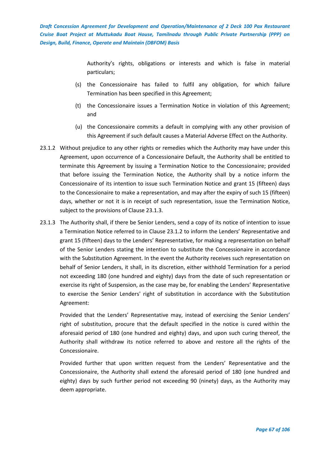> Authority's rights, obligations or interests and which is false in material particulars;

- (s) the Concessionaire has failed to fulfil any obligation, for which failure Termination has been specified in this Agreement;
- (t) the Concessionaire issues a Termination Notice in violation of this Agreement; and
- (u) the Concessionaire commits a default in complying with any other provision of this Agreement if such default causes a Material Adverse Effect on the Authority.
- 23.1.2 Without prejudice to any other rights or remedies which the Authority may have under this Agreement, upon occurrence of a Concessionaire Default, the Authority shall be entitled to terminate this Agreement by issuing a Termination Notice to the Concessionaire; provided that before issuing the Termination Notice, the Authority shall by a notice inform the Concessionaire of its intention to issue such Termination Notice and grant 15 (fifteen) days to the Concessionaire to make a representation, and may after the expiry of such 15 (fifteen) days, whether or not it is in receipt of such representation, issue the Termination Notice, subject to the provisions of Clause 23.1.3.
- 23.1.3 The Authority shall, if there be Senior Lenders, send a copy of its notice of intention to issue a Termination Notice referred to in Clause 23.1.2 to inform the Lenders' Representative and grant 15 (fifteen) days to the Lenders' Representative, for making a representation on behalf of the Senior Lenders stating the intention to substitute the Concessionaire in accordance with the Substitution Agreement. In the event the Authority receives such representation on behalf of Senior Lenders, it shall, in its discretion, either withhold Termination for a period not exceeding 180 (one hundred and eighty) days from the date of such representation or exercise its right of Suspension, as the case may be, for enabling the Lenders' Representative to exercise the Senior Lenders' right of substitution in accordance with the Substitution Agreement:

Provided that the Lenders' Representative may, instead of exercising the Senior Lenders' right of substitution, procure that the default specified in the notice is cured within the aforesaid period of 180 (one hundred and eighty) days, and upon such curing thereof, the Authority shall withdraw its notice referred to above and restore all the rights of the Concessionaire.

Provided further that upon written request from the Lenders' Representative and the Concessionaire, the Authority shall extend the aforesaid period of 180 (one hundred and eighty) days by such further period not exceeding 90 (ninety) days, as the Authority may deem appropriate.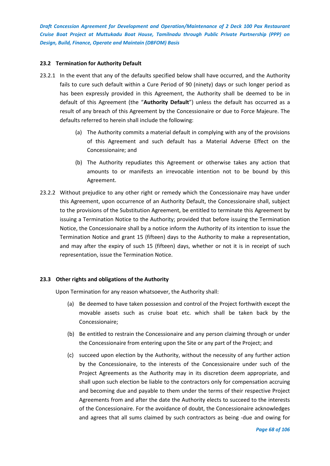## **23.2 Termination for Authority Default**

- 23.2.1 In the event that any of the defaults specified below shall have occurred, and the Authority fails to cure such default within a Cure Period of 90 (ninety) days or such longer period as has been expressly provided in this Agreement, the Authority shall be deemed to be in default of this Agreement (the "**Authority Default**") unless the default has occurred as a result of any breach of this Agreement by the Concessionaire or due to Force Majeure. The defaults referred to herein shall include the following:
	- (a) The Authority commits a material default in complying with any of the provisions of this Agreement and such default has a Material Adverse Effect on the Concessionaire; and
	- (b) The Authority repudiates this Agreement or otherwise takes any action that amounts to or manifests an irrevocable intention not to be bound by this Agreement.
- 23.2.2 Without prejudice to any other right or remedy which the Concessionaire may have under this Agreement, upon occurrence of an Authority Default, the Concessionaire shall, subject to the provisions of the Substitution Agreement, be entitled to terminate this Agreement by issuing a Termination Notice to the Authority; provided that before issuing the Termination Notice, the Concessionaire shall by a notice inform the Authority of its intention to issue the Termination Notice and grant 15 (fifteen) days to the Authority to make a representation, and may after the expiry of such 15 (fifteen) days, whether or not it is in receipt of such representation, issue the Termination Notice.

# **23.3 Other rights and obligations of the Authority**

Upon Termination for any reason whatsoever, the Authority shall:

- (a) Be deemed to have taken possession and control of the Project forthwith except the movable assets such as cruise boat etc. which shall be taken back by the Concessionaire;
- (b) Be entitled to restrain the Concessionaire and any person claiming through or under the Concessionaire from entering upon the Site or any part of the Project; and
- (c) succeed upon election by the Authority, without the necessity of any further action by the Concessionaire, to the interests of the Concessionaire under such of the Project Agreements as the Authority may in its discretion deem appropriate, and shall upon such election be liable to the contractors only for compensation accruing and becoming due and payable to them under the terms of their respective Project Agreements from and after the date the Authority elects to succeed to the interests of the Concessionaire. For the avoidance of doubt, the Concessionaire acknowledges and agrees that all sums claimed by such contractors as being -due and owing for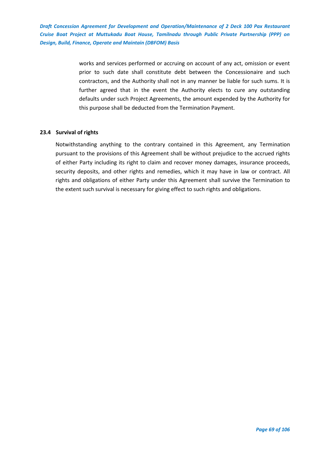> works and services performed or accruing on account of any act, omission or event prior to such date shall constitute debt between the Concessionaire and such contractors, and the Authority shall not in any manner be liable for such sums. It is further agreed that in the event the Authority elects to cure any outstanding defaults under such Project Agreements, the amount expended by the Authority for this purpose shall be deducted from the Termination Payment.

## **23.4 Survival of rights**

Notwithstanding anything to the contrary contained in this Agreement, any Termination pursuant to the provisions of this Agreement shall be without prejudice to the accrued rights of either Party including its right to claim and recover money damages, insurance proceeds, security deposits, and other rights and remedies, which it may have in law or contract. All rights and obligations of either Party under this Agreement shall survive the Termination to the extent such survival is necessary for giving effect to such rights and obligations.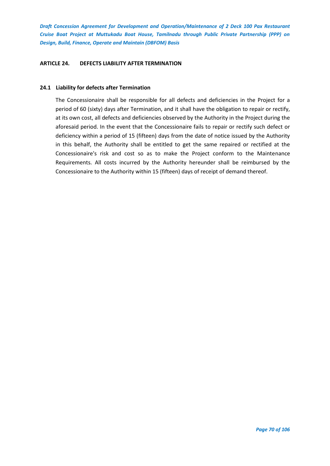## **ARTICLE 24. DEFECTS LIABILITY AFTER TERMINATION**

## **24.1 Liability for defects after Termination**

The Concessionaire shall be responsible for all defects and deficiencies in the Project for a period of 60 (sixty) days after Termination, and it shall have the obligation to repair or rectify, at its own cost, all defects and deficiencies observed by the Authority in the Project during the aforesaid period. In the event that the Concessionaire fails to repair or rectify such defect or deficiency within a period of 15 (fifteen) days from the date of notice issued by the Authority in this behalf, the Authority shall be entitled to get the same repaired or rectified at the Concessionaire's risk and cost so as to make the Project conform to the Maintenance Requirements. All costs incurred by the Authority hereunder shall be reimbursed by the Concessionaire to the Authority within 15 (fifteen) days of receipt of demand thereof.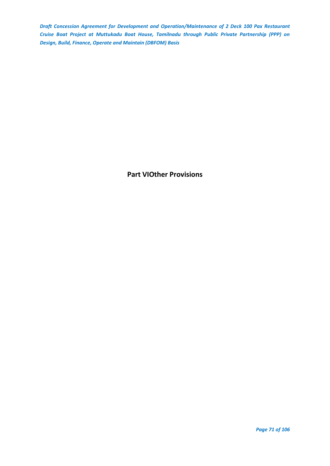**Part VIOther Provisions**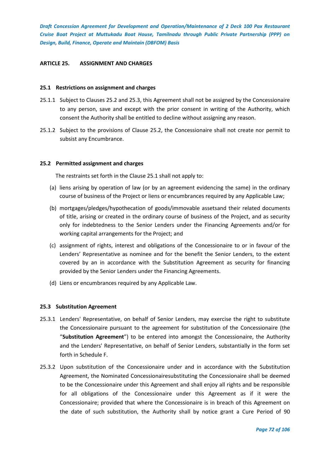### **ARTICLE 25. ASSIGNMENT AND CHARGES**

#### **25.1 Restrictions on assignment and charges**

- 25.1.1 Subject to Clauses 25.2 and 25.3, this Agreement shall not be assigned by the Concessionaire to any person, save and except with the prior consent in writing of the Authority, which consent the Authority shall be entitled to decline without assigning any reason.
- 25.1.2 Subject to the provisions of Clause 25.2, the Concessionaire shall not create nor permit to subsist any Encumbrance.

#### **25.2 Permitted assignment and charges**

The restraints set forth in the Clause 25.1 shall not apply to:

- (a) liens arising by operation of law (or by an agreement evidencing the same) in the ordinary course of business of the Project or liens or encumbrances required by any Applicable Law;
- (b) mortgages/pledges/hypothecation of goods/immovable assetsand their related documents of title, arising or created in the ordinary course of business of the Project, and as security only for indebtedness to the Senior Lenders under the Financing Agreements and/or for working capital arrangements for the Project; and
- (c) assignment of rights, interest and obligations of the Concessionaire to or in favour of the Lenders' Representative as nominee and for the benefit the Senior Lenders, to the extent covered by an in accordance with the Substitution Agreement as security for financing provided by the Senior Lenders under the Financing Agreements.
- (d) Liens or encumbrances required by any Applicable Law.

#### **25.3 Substitution Agreement**

- 25.3.1 Lenders' Representative, on behalf of Senior Lenders, may exercise the right to substitute the Concessionaire pursuant to the agreement for substitution of the Concessionaire (the "**Substitution Agreement**") to be entered into amongst the Concessionaire, the Authority and the Lenders' Representative, on behalf of Senior Lenders, substantially in the form set forth in Schedule F.
- 25.3.2 Upon substitution of the Concessionaire under and in accordance with the Substitution Agreement, the Nominated Concessionairesubstituting the Concessionaire shall be deemed to be the Concessionaire under this Agreement and shall enjoy all rights and be responsible for all obligations of the Concessionaire under this Agreement as if it were the Concessionaire; provided that where the Concessionaire is in breach of this Agreement on the date of such substitution, the Authority shall by notice grant a Cure Period of 90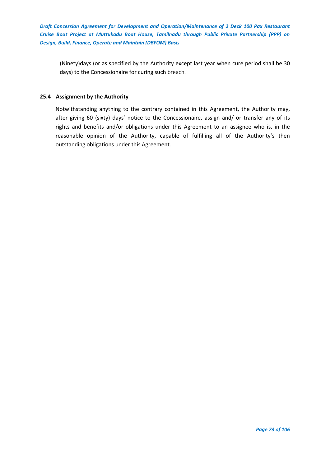(Ninety)days (or as specified by the Authority except last year when cure period shall be 30 days) to the Concessionaire for curing such breach.

# **25.4 Assignment by the Authority**

Notwithstanding anything to the contrary contained in this Agreement, the Authority may, after giving 60 (sixty) days' notice to the Concessionaire, assign and/ or transfer any of its rights and benefits and/or obligations under this Agreement to an assignee who is, in the reasonable opinion of the Authority, capable of fulfilling all of the Authority's then outstanding obligations under this Agreement.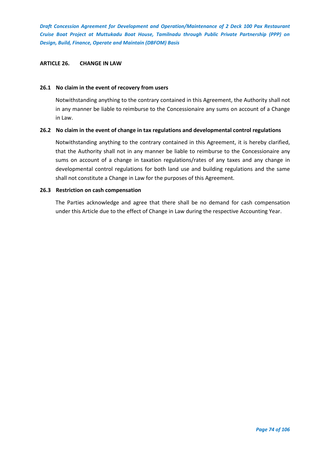### **ARTICLE 26. CHANGE IN LAW**

### **26.1 No claim in the event of recovery from users**

Notwithstanding anything to the contrary contained in this Agreement, the Authority shall not in any manner be liable to reimburse to the Concessionaire any sums on account of a Change in Law.

# **26.2 No claim in the event of change in tax regulations and developmental control regulations**

Notwithstanding anything to the contrary contained in this Agreement, it is hereby clarified, that the Authority shall not in any manner be liable to reimburse to the Concessionaire any sums on account of a change in taxation regulations/rates of any taxes and any change in developmental control regulations for both land use and building regulations and the same shall not constitute a Change in Law for the purposes of this Agreement.

# **26.3 Restriction on cash compensation**

The Parties acknowledge and agree that there shall be no demand for cash compensation under this Article due to the effect of Change in Law during the respective Accounting Year.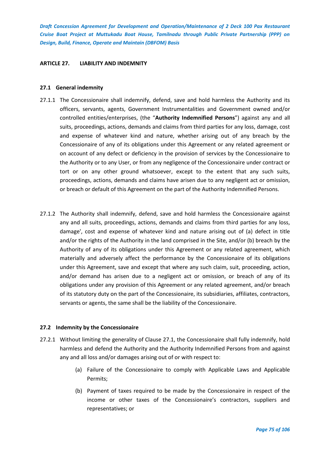### **ARTICLE 27. LIABILITY AND INDEMNITY**

### **27.1 General indemnity**

- 27.1.1 The Concessionaire shall indemnify, defend, save and hold harmless the Authority and its officers, servants, agents, Government Instrumentalities and Government owned and/or controlled entities/enterprises, (the "**Authority Indemnified Persons**") against any and all suits, proceedings, actions, demands and claims from third parties for any loss, damage, cost and expense of whatever kind and nature, whether arising out of any breach by the Concessionaire of any of its obligations under this Agreement or any related agreement or on account of any defect or deficiency in the provision of services by the Concessionaire to the Authority or to any User, or from any negligence of the Concessionaire under contract or tort or on any other ground whatsoever, except to the extent that any such suits, proceedings, actions, demands and claims have arisen due to any negligent act or omission, or breach or default of this Agreement on the part of the Authority Indemnified Persons.
- 27.1.2 The Authority shall indemnify, defend, save and hold harmless the Concessionaire against any and all suits, proceedings, actions, demands and claims from third parties for any loss, damage', cost and expense of whatever kind and nature arising out of (a) defect in title and/or the rights of the Authority in the land comprised in the Site, and/or (b) breach by the Authority of any of its obligations under this Agreement or any related agreement, which materially and adversely affect the performance by the Concessionaire of its obligations under this Agreement, save and except that where any such claim, suit, proceeding, action, and/or demand has arisen due to a negligent act or omission, or breach of any of its obligations under any provision of this Agreement or any related agreement, and/or breach of its statutory duty on the part of the Concessionaire, its subsidiaries, affiliates, contractors, servants or agents, the same shall be the liability of the Concessionaire.

### **27.2 Indemnity by the Concessionaire**

- 27.2.1 Without limiting the generality of Clause 27.1, the Concessionaire shall fully indemnify, hold harmless and defend the Authority and the Authority Indemnified Persons from and against any and all loss and/or damages arising out of or with respect to:
	- (a) Failure of the Concessionaire to comply with Applicable Laws and Applicable Permits;
	- (b) Payment of taxes required to be made by the Concessionaire in respect of the income or other taxes of the Concessionaire's contractors, suppliers and representatives; or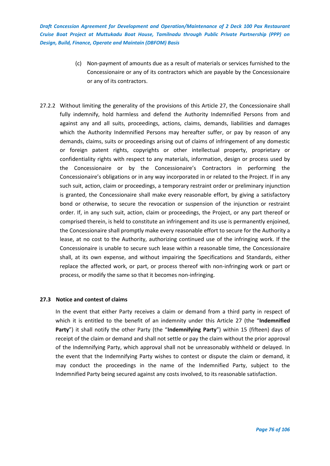- (c) Non-payment of amounts due as a result of materials or services furnished to the Concessionaire or any of its contractors which are payable by the Concessionaire or any of its contractors.
- 27.2.2 Without limiting the generality of the provisions of this Article 27, the Concessionaire shall fully indemnify, hold harmless and defend the Authority Indemnified Persons from and against any and all suits, proceedings, actions, claims, demands, liabilities and damages which the Authority Indemnified Persons may hereafter suffer, or pay by reason of any demands, claims, suits or proceedings arising out of claims of infringement of any domestic or foreign patent rights, copyrights or other intellectual property, proprietary or confidentiality rights with respect to any materials, information, design or process used by the Concessionaire or by the Concessionaire's Contractors in performing the Concessionaire's obligations or in any way incorporated in or related to the Project. If in any such suit, action, claim or proceedings, a temporary restraint order or preliminary injunction is granted, the Concessionaire shall make every reasonable effort, by giving a satisfactory bond or otherwise, to secure the revocation or suspension of the injunction or restraint order. If, in any such suit, action, claim or proceedings, the Project, or any part thereof or comprised therein, is held to constitute an infringement and its use is permanently enjoined, the Concessionaire shall promptly make every reasonable effort to secure for the Authority a lease, at no cost to the Authority, authorizing continued use of the infringing work. If the Concessionaire is unable to secure such lease within a reasonable time, the Concessionaire shall, at its own expense, and without impairing the Specifications and Standards, either replace the affected work, or part, or process thereof with non-infringing work or part or process, or modify the same so that it becomes non-infringing.

### **27.3 Notice and contest of claims**

In the event that either Party receives a claim or demand from a third party in respect of which it is entitled to the benefit of an indemnity under this Article 27 (the "**Indemnified Party**") it shall notify the other Party (the "**Indemnifying Party**") within 15 (fifteen) days of receipt of the claim or demand and shall not settle or pay the claim without the prior approval of the Indemnifying Party, which approval shall not be unreasonably withheld or delayed. In the event that the Indemnifying Party wishes to contest or dispute the claim or demand, it may conduct the proceedings in the name of the Indemnified Party, subject to the Indemnified Party being secured against any costs involved, to its reasonable satisfaction.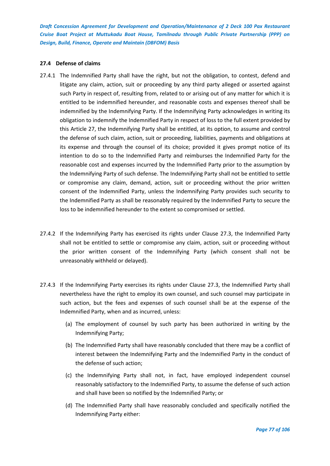# **27.4 Defense of claims**

- 27.4.1 The Indemnified Party shall have the right, but not the obligation, to contest, defend and litigate any claim, action, suit or proceeding by any third party alleged or asserted against such Party in respect of, resulting from, related to or arising out of any matter for which it is entitled to be indemnified hereunder, and reasonable costs and expenses thereof shall be indemnified by the Indemnifying Party. If the Indemnifying Party acknowledges in writing its obligation to indemnify the Indemnified Party in respect of loss to the full extent provided by this Article 27, the Indemnifying Party shall be entitled, at its option, to assume and control the defense of such claim, action, suit or proceeding, liabilities, payments and obligations at its expense and through the counsel of its choice; provided it gives prompt notice of its intention to do so to the Indemnified Party and reimburses the Indemnified Party for the reasonable cost and expenses incurred by the Indemnified Party prior to the assumption by the Indemnifying Party of such defense. The Indemnifying Party shall not be entitled to settle or compromise any claim, demand, action, suit or proceeding without the prior written consent of the Indemnified Party, unless the Indemnifying Party provides such security to the Indemnified Party as shall be reasonably required by the Indemnified Party to secure the loss to be indemnified hereunder to the extent so compromised or settled.
- 27.4.2 If the Indemnifying Party has exercised its rights under Clause 27.3, the Indemnified Party shall not be entitled to settle or compromise any claim, action, suit or proceeding without the prior written consent of the Indemnifying Party (which consent shall not be unreasonably withheld or delayed).
- 27.4.3 If the Indemnifying Party exercises its rights under Clause 27.3, the Indemnified Party shall nevertheless have the right to employ its own counsel, and such counsel may participate in such action, but the fees and expenses of such counsel shall be at the expense of the Indemnified Party, when and as incurred, unless:
	- (a) The employment of counsel by such party has been authorized in writing by the Indemnifying Party;
	- (b) The Indemnified Party shall have reasonably concluded that there may be a conflict of interest between the Indemnifying Party and the Indemnified Party in the conduct of the defense of such action;
	- (c) the Indemnifying Party shall not, in fact, have employed independent counsel reasonably satisfactory to the Indemnified Party, to assume the defense of such action and shall have been so notified by the Indemnified Party; or
	- (d) The Indemnified Party shall have reasonably concluded and specifically notified the Indemnifying Party either: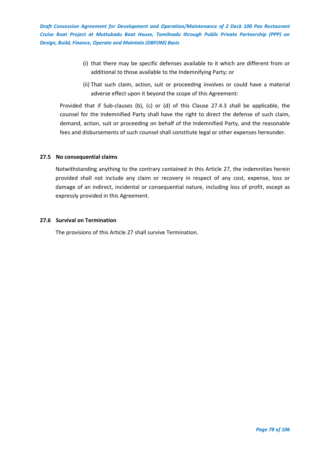- (i) that there may be specific defenses available to it which are different from or additional to those available to the Indemnifying Party; or
- (ii) That such claim, action, suit or proceeding involves or could have a material adverse effect upon it beyond the scope of this Agreement:

Provided that if Sub-clauses (b), (c) or (d) of this Clause 27.4.3 shall be applicable, the counsel for the Indemnified Party shall have the right to direct the defense of such claim, demand, action, suit or proceeding on behalf of the Indemnified Party, and the reasonable fees and disbursements of such counsel shall constitute legal or other expenses hereunder.

# **27.5 No consequential claims**

Notwithstanding anything to the contrary contained in this Article 27, the indemnities herein provided shall not include any claim or recovery in respect of any cost, expense, loss or damage of an indirect, incidental or consequential nature, including loss of profit, except as expressly provided in this Agreement.

# **27.6 Survival on Termination**

The provisions of this Article 27 shall survive Termination.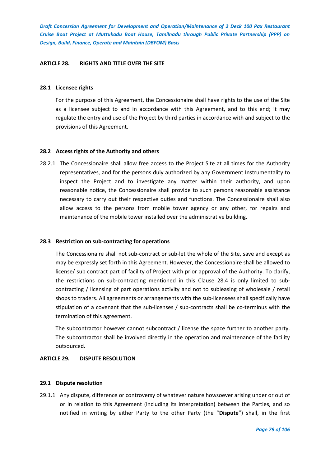# **ARTICLE 28. RIGHTS AND TITLE OVER THE SITE**

### **28.1 Licensee rights**

For the purpose of this Agreement, the Concessionaire shall have rights to the use of the Site as a licensee subject to and in accordance with this Agreement, and to this end; it may regulate the entry and use of the Project by third parties in accordance with and subject to the provisions of this Agreement.

# **28.2 Access rights of the Authority and others**

28.2.1 The Concessionaire shall allow free access to the Project Site at all times for the Authority representatives, and for the persons duly authorized by any Government Instrumentality to inspect the Project and to investigate any matter within their authority, and upon reasonable notice, the Concessionaire shall provide to such persons reasonable assistance necessary to carry out their respective duties and functions. The Concessionaire shall also allow access to the persons from mobile tower agency or any other, for repairs and maintenance of the mobile tower installed over the administrative building.

### **28.3 Restriction on sub-contracting for operations**

The Concessionaire shall not sub-contract or sub-let the whole of the Site, save and except as may be expressly set forth in this Agreement. However, the Concessionaire shall be allowed to license/ sub contract part of facility of Project with prior approval of the Authority. To clarify, the restrictions on sub-contracting mentioned in this Clause 28.4 is only limited to subcontracting / licensing of part operations activity and not to subleasing of wholesale / retail shops to traders. All agreements or arrangements with the sub-licensees shall specifically have stipulation of a covenant that the sub-licenses / sub-contracts shall be co-terminus with the termination of this agreement.

The subcontractor however cannot subcontract / license the space further to another party. The subcontractor shall be involved directly in the operation and maintenance of the facility outsourced.

# **ARTICLE 29. DISPUTE RESOLUTION**

### **29.1 Dispute resolution**

29.1.1 Any dispute, difference or controversy of whatever nature howsoever arising under or out of or in relation to this Agreement (including its interpretation) between the Parties, and so notified in writing by either Party to the other Party (the "**Dispute**") shall, in the first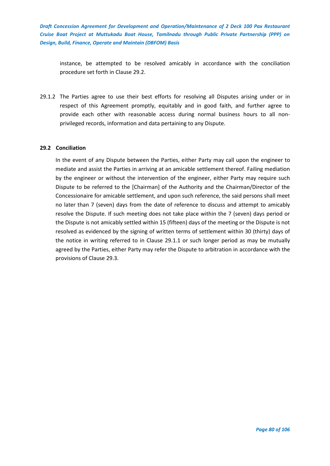instance, be attempted to be resolved amicably in accordance with the conciliation procedure set forth in Clause 29.2.

29.1.2 The Parties agree to use their best efforts for resolving all Disputes arising under or in respect of this Agreement promptly, equitably and in good faith, and further agree to provide each other with reasonable access during normal business hours to all nonprivileged records, information and data pertaining to any Dispute.

# **29.2 Conciliation**

In the event of any Dispute between the Parties, either Party may call upon the engineer to mediate and assist the Parties in arriving at an amicable settlement thereof. Failing mediation by the engineer or without the intervention of the engineer, either Party may require such Dispute to be referred to the [Chairman] of the Authority and the Chairman/Director of the Concessionaire for amicable settlement, and upon such reference, the said persons shall meet no later than 7 (seven) days from the date of reference to discuss and attempt to amicably resolve the Dispute. If such meeting does not take place within the 7 (seven) days period or the Dispute is not amicably settled within 15 (fifteen) days of the meeting or the Dispute is not resolved as evidenced by the signing of written terms of settlement within 30 (thirty) days of the notice in writing referred to in Clause 29.1.1 or such longer period as may be mutually agreed by the Parties, either Party may refer the Dispute to arbitration in accordance with the provisions of Clause 29.3.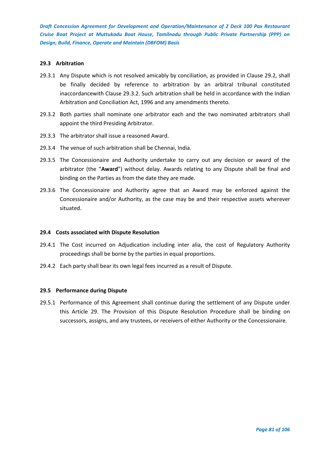### **29.3 Arbitration**

- 29.3.1 Any Dispute which is not resolved amicably by conciliation, as provided in Clause 29.2, shall be finally decided by reference to arbitration by an arbitral tribunal constituted inaccordancewith Clause 29.3.2. Such arbitration shall be held in accordance with the Indian Arbitration and Conciliation Act, 1996 and any amendments thereto.
- 29.3.2 Both parties shall nominate one arbitrator each and the two nominated arbitrators shall appoint the third Presiding Arbitrator.
- 29.3.3 The arbitrator shall issue a reasoned Award.
- 29.3.4 The venue of such arbitration shall be Chennai, India.
- 29.3.5 The Concessionaire and Authority undertake to carry out any decision or award of the arbitrator (the "**Award**") without delay. Awards relating to any Dispute shall be final and binding on the Parties as from the date they are made.
- 29.3.6 The Concessionaire and Authority agree that an Award may be enforced against the Concessionaire and/or Authority, as the case may be and their respective assets wherever situated.

### **29.4 Costs associated with Dispute Resolution**

- 29.4.1 The Cost incurred on Adjudication including inter alia, the cost of Regulatory Authority proceedings shall be borne by the parties in equal proportions.
- 29.4.2 Each party shall bear its own legal fees incurred as a result of Dispute.

### **29.5 Performance during Dispute**

29.5.1 Performance of this Agreement shall continue during the settlement of any Dispute under this Article 29. The Provision of this Dispute Resolution Procedure shall be binding on successors, assigns, and any trustees, or receivers of either Authority or the Concessionaire.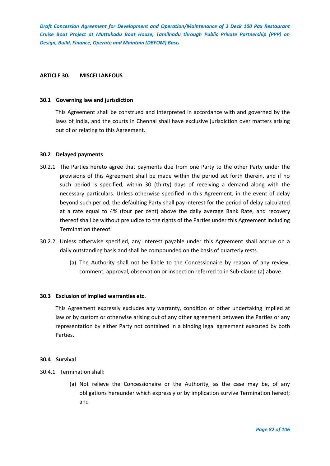### **ARTICLE 30. MISCELLANEOUS**

### **30.1 Governing law and jurisdiction**

This Agreement shall be construed and interpreted in accordance with and governed by the laws of India, and the courts in Chennai shall have exclusive jurisdiction over matters arising out of or relating to this Agreement.

# **30.2 Delayed payments**

- 30.2.1 The Parties hereto agree that payments due from one Party to the other Party under the provisions of this Agreement shall be made within the period set forth therein, and if no such period is specified, within 30 (thirty) days of receiving a demand along with the necessary particulars. Unless otherwise specified in this Agreement, in the event of delay beyond such period, the defaulting Party shall pay interest for the period of delay calculated at a rate equal to 4% (four per cent) above the daily average Bank Rate, and recovery thereof shall be without prejudice to the rights of the Parties under this Agreement including Termination thereof.
- 30.2.2 Unless otherwise specified, any interest payable under this Agreement shall accrue on a daily outstanding basis and shall be compounded on the basis of quarterly rests.
	- (a) The Authority shall not be liable to the Concessionaire by reason of any review, comment, approval, observation or inspection referred to in Sub-clause (a) above.

# **30.3 Exclusion of implied warranties etc.**

This Agreement expressly excludes any warranty, condition or other undertaking implied at law or by custom or otherwise arising out of any other agreement between the Parties or any representation by either Party not contained in a binding legal agreement executed by both Parties.

### **30.4 Survival**

- 30.4.1 Termination shall:
	- (a) Not relieve the Concessionaire or the Authority, as the case may be, of any obligations hereunder which expressly or by implication survive Termination hereof; and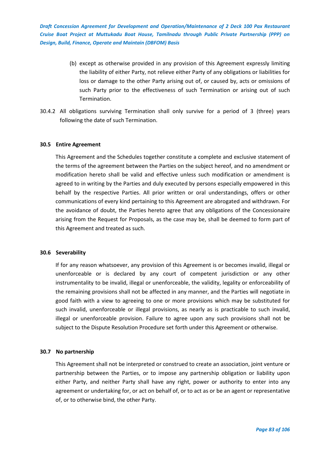- (b) except as otherwise provided in any provision of this Agreement expressly limiting the liability of either Party, not relieve either Party of any obligations or liabilities for loss or damage to the other Party arising out of, or caused by, acts or omissions of such Party prior to the effectiveness of such Termination or arising out of such Termination.
- 30.4.2 All obligations surviving Termination shall only survive for a period of 3 (three) years following the date of such Termination.

# **30.5 Entire Agreement**

This Agreement and the Schedules together constitute a complete and exclusive statement of the terms of the agreement between the Parties on the subject hereof, and no amendment or modification hereto shall be valid and effective unless such modification or amendment is agreed to in writing by the Parties and duly executed by persons especially empowered in this behalf by the respective Parties. All prior written or oral understandings, offers or other communications of every kind pertaining to this Agreement are abrogated and withdrawn. For the avoidance of doubt, the Parties hereto agree that any obligations of the Concessionaire arising from the Request for Proposals, as the case may be, shall be deemed to form part of this Agreement and treated as such.

#### **30.6 Severability**

If for any reason whatsoever, any provision of this Agreement is or becomes invalid, illegal or unenforceable or is declared by any court of competent jurisdiction or any other instrumentality to be invalid, illegal or unenforceable, the validity, legality or enforceability of the remaining provisions shall not be affected in any manner, and the Parties will negotiate in good faith with a view to agreeing to one or more provisions which may be substituted for such invalid, unenforceable or illegal provisions, as nearly as is practicable to such invalid, illegal or unenforceable provision. Failure to agree upon any such provisions shall not be subject to the Dispute Resolution Procedure set forth under this Agreement or otherwise.

#### **30.7 No partnership**

This Agreement shall not be interpreted or construed to create an association, joint venture or partnership between the Parties, or to impose any partnership obligation or liability upon either Party, and neither Party shall have any right, power or authority to enter into any agreement or undertaking for, or act on behalf of, or to act as or be an agent or representative of, or to otherwise bind, the other Party.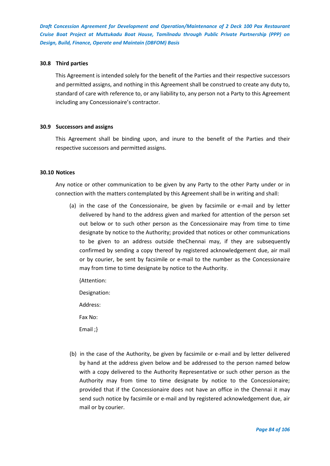### **30.8 Third parties**

This Agreement is intended solely for the benefit of the Parties and their respective successors and permitted assigns, and nothing in this Agreement shall be construed to create any duty to, standard of care with reference to, or any liability to, any person not a Party to this Agreement including any Concessionaire's contractor.

#### **30.9 Successors and assigns**

This Agreement shall be binding upon, and inure to the benefit of the Parties and their respective successors and permitted assigns.

#### **30.10 Notices**

Any notice or other communication to be given by any Party to the other Party under or in connection with the matters contemplated by this Agreement shall be in writing and shall:

(a) in the case of the Concessionaire, be given by facsimile or e-mail and by letter delivered by hand to the address given and marked for attention of the person set out below or to such other person as the Concessionaire may from time to time designate by notice to the Authority; provided that notices or other communications to be given to an address outside theChennai may, if they are subsequently confirmed by sending a copy thereof by registered acknowledgement due, air mail or by courier, be sent by facsimile or e-mail to the number as the Concessionaire may from time to time designate by notice to the Authority.

{Attention:

Designation:

Address:

Fax No:

Email ;}

(b) in the case of the Authority, be given by facsimile or e-mail and by letter delivered by hand at the address given below and be addressed to the person named below with a copy delivered to the Authority Representative or such other person as the Authority may from time to time designate by notice to the Concessionaire; provided that if the Concessionaire does not have an office in the Chennai it may send such notice by facsimile or e-mail and by registered acknowledgement due, air mail or by courier.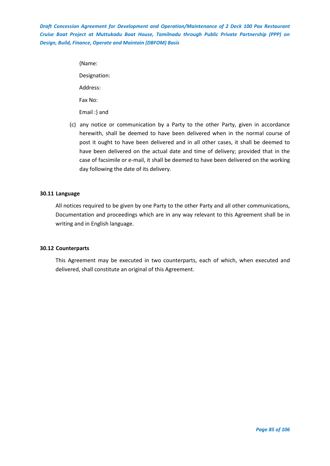> {Name: Designation: Address: Fax No: Email :} and

(c) any notice or communication by a Party to the other Party, given in accordance herewith, shall be deemed to have been delivered when in the normal course of post it ought to have been delivered and in all other cases, it shall be deemed to have been delivered on the actual date and time of delivery; provided that in the case of facsimile or e-mail, it shall be deemed to have been delivered on the working day following the date of its delivery.

# **30.11 Language**

All notices required to be given by one Party to the other Party and all other communications, Documentation and proceedings which are in any way relevant to this Agreement shall be in writing and in English language.

### **30.12 Counterparts**

This Agreement may be executed in two counterparts, each of which, when executed and delivered, shall constitute an original of this Agreement.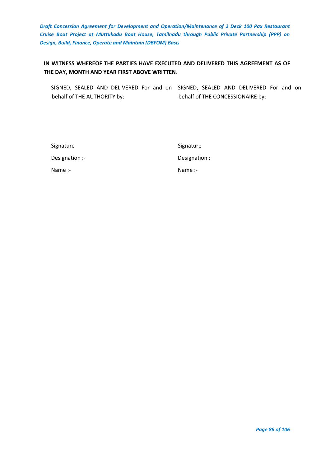# **IN WITNESS WHEREOF THE PARTIES HAVE EXECUTED AND DELIVERED THIS AGREEMENT AS OF THE DAY, MONTH AND YEAR FIRST ABOVE WRITTEN**.

SIGNED, SEALED AND DELIVERED For and on SIGNED, SEALED AND DELIVERED For and on behalf of THE AUTHORITY by: behalf of THE CONCESSIONAIRE by:

| Signature      |  |
|----------------|--|
| Designation :- |  |
| Name:          |  |

Signature Designation : Name :-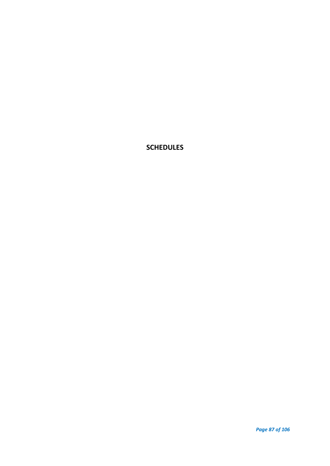**SCHEDULES**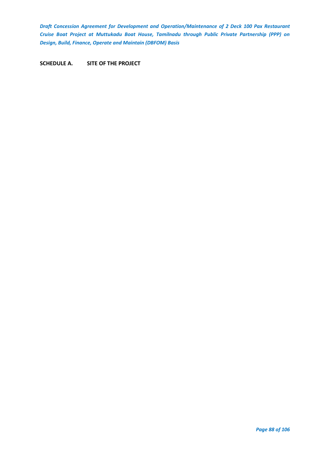**SCHEDULE A. SITE OF THE PROJECT**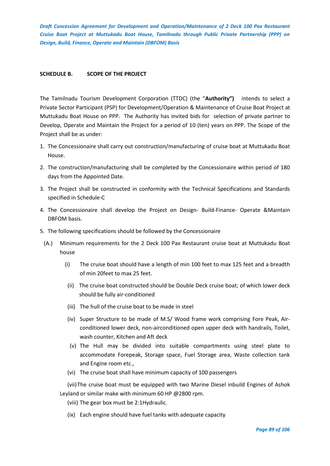# **SCHEDULE B. SCOPE OF THE PROJECT**

The Tamilnadu Tourism Development Corporation (TTDC) (the "**Authority")** intends to select a Private Sector Participant (PSP) for Development/Operation & Maintenance of Cruise Boat Project at Muttukadu Boat House on PPP. The Authority has invited bids for selection of private partner to Develop, Operate and Maintain the Project for a period of 10 (ten) years on PPP. The Scope of the Project shall be as under:

- 1. The Concessionaire shall carry out construction/manufacturing of cruise boat at Muttukadu Boat House.
- 2. The construction/manufacturing shall be completed by the Concessionaire within period of 180 days from the Appointed Date.
- 3. The Project shall be constructed in conformity with the Technical Specifications and Standards specified in Schedule-C
- 4. The Concessionaire shall develop the Project on Design- Build-Finance- Operate &Maintain DBFOM basis.
- 5. The following specifications should be followed by the Concessionaire
	- (A.) Minimum requirements for the 2 Deck 100 Pax Restaurant cruise boat at Muttukadu Boat house
		- (i) The cruise boat should have a length of min 100 feet to max 125 feet and a breadth of min 20feet to max 25 feet.
		- (ii) The cruise boat constructed should be Double Deck cruise boat; of which lower deck should be fully air-conditioned
		- (iii) The hull of the cruise boat to be made in steel
		- (iv) Super Structure to be made of M.S/ Wood frame work comprising Fore Peak, Airconditioned lower deck, non-airconditioned open upper deck with handrails, Toilet, wash counter, Kitchen and Aft deck
		- (v) The Hull may be divided into suitable compartments using steel plate to accommodate Forepeak, Storage space, Fuel Storage area, Waste collection tank and Engine room etc.,
		- (vi) The cruise boat shall have minimum capacity of 100 passengers

(vii)The cruise boat must be equipped with two Marine Diesel inbuild Engines of Ashok Leyland or similar make with minimum 60 HP @2800 rpm.

- (viii) The gear box must be 2:1Hydraulic.
- (ix) Each engine should have fuel tanks with adequate capacity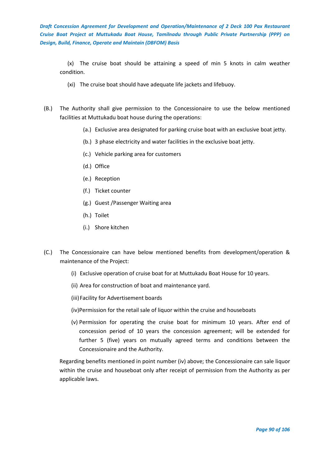(x) The cruise boat should be attaining a speed of min 5 knots in calm weather condition.

- (xi) The cruise boat should have adequate life jackets and lifebuoy.
- (B.) The Authority shall give permission to the Concessionaire to use the below mentioned facilities at Muttukadu boat house during the operations:
	- (a.) Exclusive area designated for parking cruise boat with an exclusive boat jetty.
	- (b.) 3 phase electricity and water facilities in the exclusive boat jetty.
	- (c.) Vehicle parking area for customers
	- (d.) Office
	- (e.) Reception
	- (f.) Ticket counter
	- (g.) Guest /Passenger Waiting area
	- (h.) Toilet
	- (i.) Shore kitchen
- (C.) The Concessionaire can have below mentioned benefits from development/operation & maintenance of the Project:
	- (i) Exclusive operation of cruise boat for at Muttukadu Boat House for 10 years.
	- (ii) Area for construction of boat and maintenance yard.
	- (iii)Facility for Advertisement boards
	- (iv)Permission for the retail sale of liquor within the cruise and houseboats
	- (v) Permission for operating the cruise boat for minimum 10 years. After end of concession period of 10 years the concession agreement; will be extended for further 5 (five) years on mutually agreed terms and conditions between the Concessionaire and the Authority.

Regarding benefits mentioned in point number (iv) above; the Concessionaire can sale liquor within the cruise and houseboat only after receipt of permission from the Authority as per applicable laws.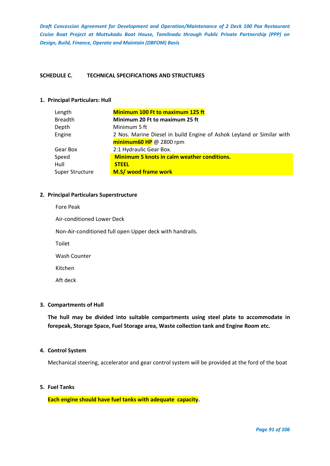# **SCHEDULE C. TECHNICAL SPECIFICATIONS AND STRUCTURES**

# **1. Principal Particulars: Hull**

| Length                 | <b>Minimum 100 Ft to maximum 125 ft</b>                               |
|------------------------|-----------------------------------------------------------------------|
| <b>Breadth</b>         | Minimum 20 Ft to maximum 25 ft                                        |
| Depth                  | Minimum 5 ft                                                          |
| Engine                 | 2 Nos. Marine Diesel in build Engine of Ashok Leyland or Similar with |
|                        | $minimum60$ HP @ 2800 rpm                                             |
| Gear Box               | 2:1 Hydraulic Gear Box.                                               |
| Speed                  | <b>Minimum 5 knots in calm weather conditions.</b>                    |
| Hull                   | <b>STEEL</b>                                                          |
| <b>Super Structure</b> | M.S/ wood frame work                                                  |
|                        |                                                                       |

### **2. Principal Particulars Superstructure**

| Fore Peak                                                |
|----------------------------------------------------------|
| Air-conditioned Lower Deck                               |
| Non-Air-conditioned full open Upper deck with handrails. |
| <b>Toilet</b>                                            |
| Wash Counter                                             |
| Kitchen                                                  |
| Aft deck                                                 |
|                                                          |

### **3. Compartments of Hull**

**The hull may be divided into suitable compartments using steel plate to accommodate in forepeak, Storage Space, Fuel Storage area, Waste collection tank and Engine Room etc.**

# **4. Control System**

Mechanical steering, accelerator and gear control system will be provided at the ford of the boat

# **5. Fuel Tanks**

**Each engine should have fuel tanks with adequate capacity.**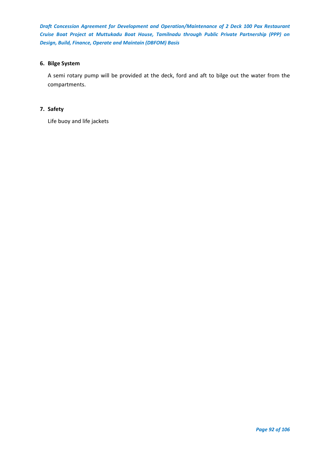# **6. Bilge System**

A semi rotary pump will be provided at the deck, ford and aft to bilge out the water from the compartments.

# **7. Safety**

Life buoy and life jackets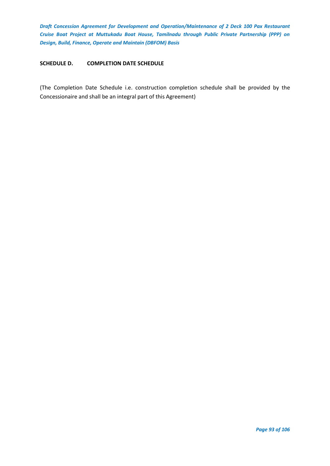# **SCHEDULE D. COMPLETION DATE SCHEDULE**

(The Completion Date Schedule i.e. construction completion schedule shall be provided by the Concessionaire and shall be an integral part of this Agreement)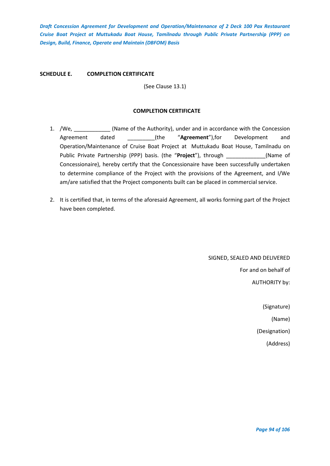**SCHEDULE E. COMPLETION CERTIFICATE**

(See Clause 13.1)

# **COMPLETION CERTIFICATE**

- 1. /We, \_\_\_\_\_\_\_\_\_\_\_\_ (Name of the Authority), under and in accordance with the Concession Agreement dated \_\_\_\_\_\_\_\_\_(the "**Agreement**"),for Development and Operation/Maintenance of Cruise Boat Project at Muttukadu Boat House, Tamilnadu on Public Private Partnership (PPP) basis. (the "**Project**"), through \_\_\_\_\_\_\_\_\_\_\_\_\_(Name of Concessionaire), hereby certify that the Concessionaire have been successfully undertaken to determine compliance of the Project with the provisions of the Agreement, and I/We am/are satisfied that the Project components built can be placed in commercial service.
- 2. It is certified that, in terms of the aforesaid Agreement, all works forming part of the Project have been completed.

SIGNED, SEALED AND DELIVERED For and on behalf of AUTHORITY by:

(Signature)

(Name)

(Designation)

(Address)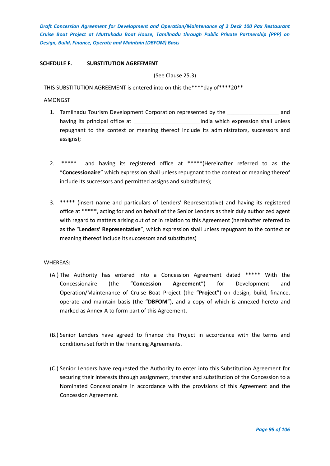# **SCHEDULE F. SUBSTITUTION AGREEMENT**

(See Clause 25.3)

THIS SUBSTITUTION AGREEMENT is entered into on this the\*\*\*\*day of\*\*\*\*20\*\*

### AMONGST

- 1. Tamilnadu Tourism Development Corporation represented by the and having its principal office at \_\_\_\_\_\_\_\_\_\_\_\_\_\_\_\_\_\_\_\_\_\_\_\_\_\_India which expression shall unless repugnant to the context or meaning thereof include its administrators, successors and assigns);
- 2. \*\*\*\*\* and having its registered office at \*\*\*\*\*(Hereinafter referred to as the "**Concessionaire**" which expression shall unless repugnant to the context or meaning thereof include its successors and permitted assigns and substitutes);
- 3. \*\*\*\*\* (insert name and particulars of Lenders' Representative) and having its registered office at \*\*\*\*\*, acting for and on behalf of the Senior Lenders as their duly authorized agent with regard to matters arising out of or in relation to this Agreement (hereinafter referred to as the "**Lenders' Representative**", which expression shall unless repugnant to the context or meaning thereof include its successors and substitutes)

### WHEREAS:

- (A.) The Authority has entered into a Concession Agreement dated \*\*\*\*\* With the Concessionaire (the "**Concession Agreement**") for Development and Operation/Maintenance of Cruise Boat Project (the "**Project**") on design, build, finance, operate and maintain basis (the "**DBFOM**"), and a copy of which is annexed hereto and marked as Annex-A to form part of this Agreement.
- (B.) Senior Lenders have agreed to finance the Project in accordance with the terms and conditions set forth in the Financing Agreements.
- (C.) Senior Lenders have requested the Authority to enter into this Substitution Agreement for securing their interests through assignment, transfer and substitution of the Concession to a Nominated Concessionaire in accordance with the provisions of this Agreement and the Concession Agreement.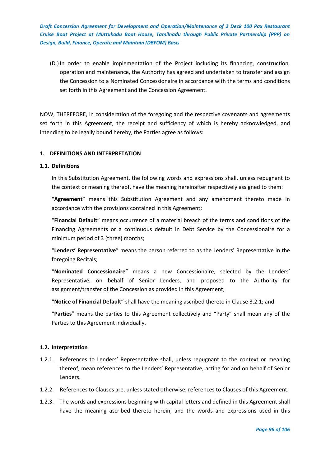(D.) In order to enable implementation of the Project including its financing, construction, operation and maintenance, the Authority has agreed and undertaken to transfer and assign the Concession to a Nominated Concessionaire in accordance with the terms and conditions set forth in this Agreement and the Concession Agreement.

NOW, THEREFORE, in consideration of the foregoing and the respective covenants and agreements set forth in this Agreement, the receipt and sufficiency of which is hereby acknowledged, and intending to be legally bound hereby, the Parties agree as follows:

# **1. DEFINITIONS AND INTERPRETATION**

### **1.1. Definitions**

In this Substitution Agreement, the following words and expressions shall, unless repugnant to the context or meaning thereof, have the meaning hereinafter respectively assigned to them:

"**Agreement**" means this Substitution Agreement and any amendment thereto made in accordance with the provisions contained in this Agreement;

"**Financial Default**" means occurrence of a material breach of the terms and conditions of the Financing Agreements or a continuous default in Debt Service by the Concessionaire for a minimum period of 3 (three) months;

"**Lenders' Representative**" means the person referred to as the Lenders' Representative in the foregoing Recitals;

"**Nominated Concessionaire**" means a new Concessionaire, selected by the Lenders' Representative, on behalf of Senior Lenders, and proposed to the Authority for assignment/transfer of the Concession as provided in this Agreement;

"**Notice of Financial Default**" shall have the meaning ascribed thereto in Clause 3.2.1; and

"**Parties**" means the parties to this Agreement collectively and "Party" shall mean any of the Parties to this Agreement individually.

# **1.2. Interpretation**

- 1.2.1. References to Lenders' Representative shall, unless repugnant to the context or meaning thereof, mean references to the Lenders' Representative, acting for and on behalf of Senior Lenders.
- 1.2.2. References to Clauses are, unless stated otherwise, references to Clauses of this Agreement.
- 1.2.3. The words and expressions beginning with capital letters and defined in this Agreement shall have the meaning ascribed thereto herein, and the words and expressions used in this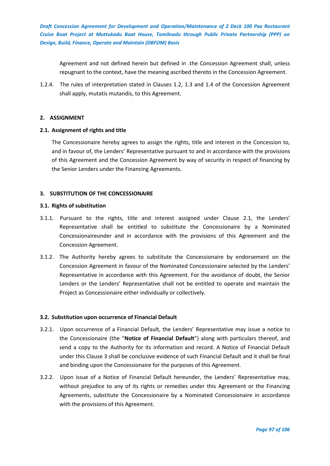Agreement and not defined herein but defined in .the Concession Agreement shall, unless repugnant to the context, have the meaning ascribed thereto in the Concession Agreement.

1.2.4. The rules of interpretation stated in Clauses 1.2, 1.3 and 1.4 of the Concession Agreement shall apply, mutatis mutandis, to this Agreement.

# **2. ASSIGNMENT**

# **2.1. Assignment of rights and title**

The Concessionaire hereby agrees to assign the rights, title and interest in the Concession to, and in favour of, the Lenders' Representative pursuant to and in accordance with the provisions of this Agreement and the Concession Agreement by way of security in respect of financing by the Senior Lenders under the Financing Agreements.

# **3. SUBSTITUTION OF THE CONCESSIONAIRE**

# **3.1. Rights of substitution**

- 3.1.1. Pursuant to the rights, title and interest assigned under Clause 2.1, the Lenders' Representative shall be entitled to substitute the Concessionaire by a Nominated Concessionaireunder and in accordance with the provisions of this Agreement and the Concession Agreement.
- 3.1.2. The Authority hereby agrees to substitute the Concessionaire by endorsement on the Concession Agreement in favour of the Nominated Concessionaire selected by the Lenders' Representative in accordance with this Agreement. For the avoidance of doubt, the Senior Lenders or the Lenders' Representative shall not be entitled to operate and maintain the Project as Concessionaire either individually or collectively.

### **3.2. Substitution upon occurrence of Financial Default**

- 3.2.1. Upon occurrence of a Financial Default, the Lenders' Representative may issue a notice to the Concessionaire (the "**Notice of Financial Default**") along with particulars thereof, and send a copy to the Authority for its information and record. A Notice of Financial Default under this Clause 3 shall be conclusive evidence of such Financial Default and it shall be final and binding upon the Concessionaire for the purposes of this Agreement.
- 3.2.2. Upon issue of a Notice of Financial Default hereunder, the Lenders' Representative may, without prejudice to any of its rights or remedies under this Agreement or the Financing Agreements, substitute the Concessionaire by a Nominated Concessionaire in accordance with the provisions of this Agreement.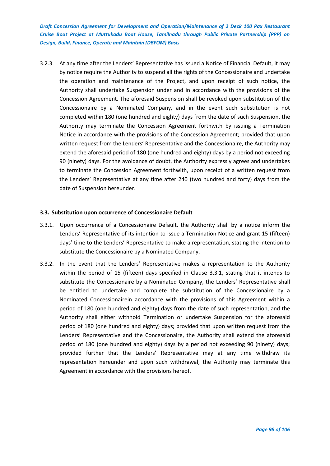3.2.3. At any time after the Lenders' Representative has issued a Notice of Financial Default, it may by notice require the Authority to suspend all the rights of the Concessionaire and undertake the operation and maintenance of the Project, and upon receipt of such notice, the Authority shall undertake Suspension under and in accordance with the provisions of the Concession Agreement. The aforesaid Suspension shall be revoked upon substitution of the Concessionaire by a Nominated Company, and in the event such substitution is not completed within 180 (one hundred and eighty) days from the date of such Suspension, the Authority may terminate the Concession Agreement forthwith by issuing a Termination Notice in accordance with the provisions of the Concession Agreement; provided that upon written request from the Lenders' Representative and the Concessionaire, the Authority may extend the aforesaid period of 180 (one hundred and eighty) days by a period not exceeding 90 (ninety) days. For the avoidance of doubt, the Authority expressly agrees and undertakes to terminate the Concession Agreement forthwith, upon receipt of a written request from the Lenders' Representative at any time after 240 (two hundred and forty) days from the date of Suspension hereunder.

# **3.3. Substitution upon occurrence of Concessionaire Default**

- 3.3.1. Upon occurrence of a Concessionaire Default, the Authority shall by a notice inform the Lenders' Representative of its intention to issue a Termination Notice and grant 15 (fifteen) days' time to the Lenders' Representative to make a representation, stating the intention to substitute the Concessionaire by a Nominated Company.
- 3.3.2. In the event that the Lenders' Representative makes a representation to the Authority within the period of 15 (fifteen) days specified in Clause 3.3.1, stating that it intends to substitute the Concessionaire by a Nominated Company, the Lenders' Representative shall be entitled to undertake and complete the substitution of the Concessionaire by a Nominated Concessionairein accordance with the provisions of this Agreement within a period of 180 (one hundred and eighty) days from the date of such representation, and the Authority shall either withhold Termination or undertake Suspension for the aforesaid period of 180 (one hundred and eighty) days; provided that upon written request from the Lenders' Representative and the Concessionaire, the Authority shall extend the aforesaid period of 180 (one hundred and eighty) days by a period not exceeding 90 (ninety) days; provided further that the Lenders' Representative may at any time withdraw its representation hereunder and upon such withdrawal, the Authority may terminate this Agreement in accordance with the provisions hereof.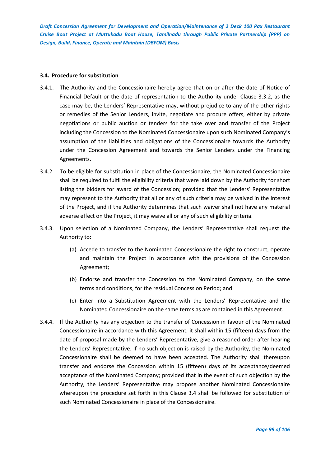### **3.4. Procedure for substitution**

- 3.4.1. The Authority and the Concessionaire hereby agree that on or after the date of Notice of Financial Default or the date of representation to the Authority under Clause 3.3.2, as the case may be, the Lenders' Representative may, without prejudice to any of the other rights or remedies of the Senior Lenders, invite, negotiate and procure offers, either by private negotiations or public auction or tenders for the take over and transfer of the Project including the Concession to the Nominated Concessionaire upon such Nominated Company's assumption of the liabilities and obligations of the Concessionaire towards the Authority under the Concession Agreement and towards the Senior Lenders under the Financing Agreements.
- 3.4.2. To be eligible for substitution in place of the Concessionaire, the Nominated Concessionaire shall be required to fulfil the eligibility criteria that were laid down by the Authority for short listing the bidders for award of the Concession; provided that the Lenders' Representative may represent to the Authority that all or any of such criteria may be waived in the interest of the Project, and if the Authority determines that such waiver shall not have any material adverse effect on the Project, it may waive all or any of such eligibility criteria.
- 3.4.3. Upon selection of a Nominated Company, the Lenders' Representative shall request the Authority to:
	- (a) Accede to transfer to the Nominated Concessionaire the right to construct, operate and maintain the Project in accordance with the provisions of the Concession Agreement;
	- (b) Endorse and transfer the Concession to the Nominated Company, on the same terms and conditions, for the residual Concession Period; and
	- (c) Enter into a Substitution Agreement with the Lenders' Representative and the Nominated Concessionaire on the same terms as are contained in this Agreement.
- 3.4.4. If the Authority has any objection to the transfer of Concession in favour of the Nominated Concessionaire in accordance with this Agreement, it shall within 15 (fifteen) days from the date of proposal made by the Lenders' Representative, give a reasoned order after hearing the Lenders' Representative. If no such objection is raised by the Authority, the Nominated Concessionaire shall be deemed to have been accepted. The Authority shall thereupon transfer and endorse the Concession within 15 (fifteen) days of its acceptance/deemed acceptance of the Nominated Company; provided that in the event of such objection by the Authority, the Lenders' Representative may propose another Nominated Concessionaire whereupon the procedure set forth in this Clause 3.4 shall be followed for substitution of such Nominated Concessionaire in place of the Concessionaire.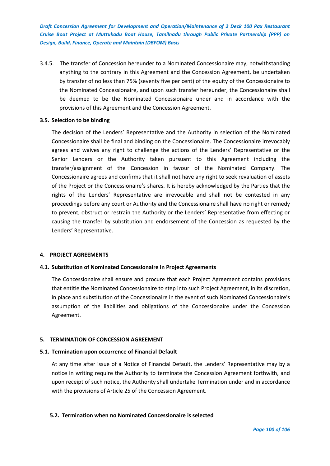3.4.5. The transfer of Concession hereunder to a Nominated Concessionaire may, notwithstanding anything to the contrary in this Agreement and the Concession Agreement, be undertaken by transfer of no less than 75% (seventy five per cent) of the equity of the Concessionaire to the Nominated Concessionaire, and upon such transfer hereunder, the Concessionaire shall be deemed to be the Nominated Concessionaire under and in accordance with the provisions of this Agreement and the Concession Agreement.

# **3.5. Selection to be binding**

The decision of the Lenders' Representative and the Authority in selection of the Nominated Concessionaire shall be final and binding on the Concessionaire. The Concessionaire irrevocably agrees and waives any right to challenge the actions of the Lenders' Representative or the Senior Lenders or the Authority taken pursuant to this Agreement including the transfer/assignment of the Concession in favour of the Nominated Company. The Concessionaire agrees and confirms that it shall not have any right to seek revaluation of assets of the Project or the Concessionaire's shares. It is hereby acknowledged by the Parties that the rights of the Lenders' Representative are irrevocable and shall not be contested in any proceedings before any court or Authority and the Concessionaire shall have no right or remedy to prevent, obstruct or restrain the Authority or the Lenders' Representative from effecting or causing the transfer by substitution and endorsement of the Concession as requested by the Lenders' Representative.

### **4. PROJECT AGREEMENTS**

# **4.1. Substitution of Nominated Concessionaire in Project Agreements**

The Concessionaire shall ensure and procure that each Project Agreement contains provisions that entitle the Nominated Concessionaire to step into such Project Agreement, in its discretion, in place and substitution of the Concessionaire in the event of such Nominated Concessionaire's assumption of the liabilities and obligations of the Concessionaire under the Concession Agreement.

# **5. TERMINATION OF CONCESSION AGREEMENT**

### **5.1. Termination upon occurrence of Financial Default**

At any time after issue of a Notice of Financial Default, the Lenders' Representative may by a notice in writing require the Authority to terminate the Concession Agreement forthwith, and upon receipt of such notice, the Authority shall undertake Termination under and in accordance with the provisions of Article 25 of the Concession Agreement.

# **5.2. Termination when no Nominated Concessionaire is selected**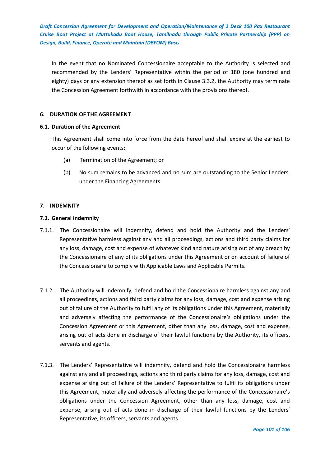In the event that no Nominated Concessionaire acceptable to the Authority is selected and recommended by the Lenders' Representative within the period of 180 (one hundred and eighty) days or any extension thereof as set forth in Clause 3.3.2, the Authority may terminate the Concession Agreement forthwith in accordance with the provisions thereof.

# **6. DURATION OF THE AGREEMENT**

# **6.1. Duration of the Agreement**

This Agreement shall come into force from the date hereof and shall expire at the earliest to occur of the following events:

- (a) Termination of the Agreement; or
- (b) No sum remains to be advanced and no sum are outstanding to the Senior Lenders, under the Financing Agreements.

# **7. INDEMNITY**

# **7.1. General indemnity**

- 7.1.1. The Concessionaire will indemnify, defend and hold the Authority and the Lenders' Representative harmless against any and all proceedings, actions and third party claims for any loss, damage, cost and expense of whatever kind and nature arising out of any breach by the Concessionaire of any of its obligations under this Agreement or on account of failure of the Concessionaire to comply with Applicable Laws and Applicable Permits.
- 7.1.2. The Authority will indemnify, defend and hold the Concessionaire harmless against any and all proceedings, actions and third party claims for any loss, damage, cost and expense arising out of failure of the Authority to fulfil any of its obligations under this Agreement, materially and adversely affecting the performance of the Concessionaire's obligations under the Concession Agreement or this Agreement, other than any loss, damage, cost and expense, arising out of acts done in discharge of their lawful functions by the Authority, its officers, servants and agents.
- 7.1.3. The Lenders' Representative will indemnify, defend and hold the Concessionaire harmless against any and all proceedings, actions and third party claims for any loss, damage, cost and expense arising out of failure of the Lenders' Representative to fulfil its obligations under this Agreement, materially and adversely affecting the performance of the Concessionaire's obligations under the Concession Agreement, other than any loss, damage, cost and expense, arising out of acts done in discharge of their lawful functions by the Lenders' Representative, its officers, servants and agents.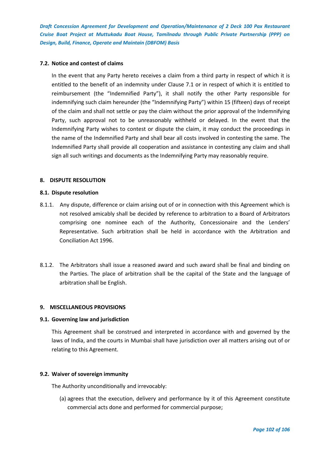# **7.2. Notice and contest of claims**

In the event that any Party hereto receives a claim from a third party in respect of which it is entitled to the benefit of an indemnity under Clause 7.1 or in respect of which it is entitled to reimbursement (the "Indemnified Party"), it shall notify the other Party responsible for indemnifying such claim hereunder (the "Indemnifying Party") within 15 (fifteen) days of receipt of the claim and shall not settle or pay the claim without the prior approval of the Indemnifying Party, such approval not to be unreasonably withheld or delayed. In the event that the Indemnifying Party wishes to contest or dispute the claim, it may conduct the proceedings in the name of the Indemnified Party and shall bear all costs involved in contesting the same. The Indemnified Party shall provide all cooperation and assistance in contesting any claim and shall sign all such writings and documents as the Indemnifying Party may reasonably require.

# **8. DISPUTE RESOLUTION**

### **8.1. Dispute resolution**

- 8.1.1. Any dispute, difference or claim arising out of or in connection with this Agreement which is not resolved amicably shall be decided by reference to arbitration to a Board of Arbitrators comprising one nominee each of the Authority, Concessionaire and the Lenders' Representative. Such arbitration shall be held in accordance with the Arbitration and Conciliation Act 1996.
- 8.1.2. The Arbitrators shall issue a reasoned award and such award shall be final and binding on the Parties. The place of arbitration shall be the capital of the State and the language of arbitration shall be English.

### **9. MISCELLANEOUS PROVISIONS**

### **9.1. Governing law and jurisdiction**

This Agreement shall be construed and interpreted in accordance with and governed by the laws of India, and the courts in Mumbai shall have jurisdiction over all matters arising out of or relating to this Agreement.

### **9.2. Waiver of sovereign immunity**

The Authority unconditionally and irrevocably:

(a) agrees that the execution, delivery and performance by it of this Agreement constitute commercial acts done and performed for commercial purpose;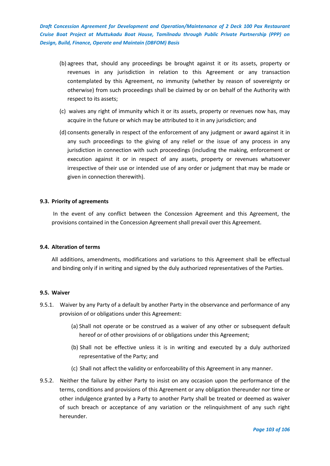- (b) agrees that, should any proceedings be brought against it or its assets, property or revenues in any jurisdiction in relation to this Agreement or any transaction contemplated by this Agreement, no immunity (whether by reason of sovereignty or otherwise) from such proceedings shall be claimed by or on behalf of the Authority with respect to its assets;
- (c) waives any right of immunity which it or its assets, property or revenues now has, may acquire in the future or which may be attributed to it in any jurisdiction; and
- (d) consents generally in respect of the enforcement of any judgment or award against it in any such proceedings to the giving of any relief or the issue of any process in any jurisdiction in connection with such proceedings (including the making, enforcement or execution against it or in respect of any assets, property or revenues whatsoever irrespective of their use or intended use of any order or judgment that may be made or given in connection therewith).

### **9.3. Priority of agreements**

In the event of any conflict between the Concession Agreement and this Agreement, the provisions contained in the Concession Agreement shall prevail over this Agreement.

### **9.4. Alteration of terms**

All additions, amendments, modifications and variations to this Agreement shall be effectual and binding only if in writing and signed by the duly authorized representatives of the Parties.

### **9.5. Waiver**

- 9.5.1. Waiver by any Party of a default by another Party in the observance and performance of any provision of or obligations under this Agreement:
	- (a) Shall not operate or be construed as a waiver of any other or subsequent default hereof or of other provisions of or obligations under this Agreement;
	- (b) Shall not be effective unless it is in writing and executed by a duly authorized representative of the Party; and
	- (c) Shall not affect the validity or enforceability of this Agreement in any manner.
- 9.5.2. Neither the failure by either Party to insist on any occasion upon the performance of the terms, conditions and provisions of this Agreement or any obligation thereunder nor time or other indulgence granted by a Party to another Party shall be treated or deemed as waiver of such breach or acceptance of any variation or the relinquishment of any such right hereunder.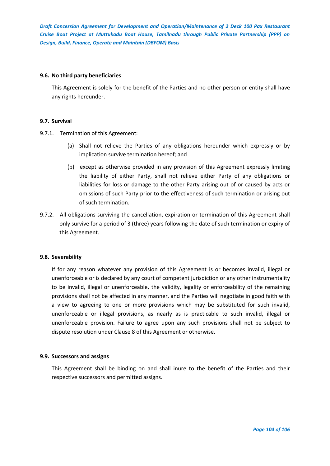### **9.6. No third party beneficiaries**

This Agreement is solely for the benefit of the Parties and no other person or entity shall have any rights hereunder.

# **9.7. Survival**

9.7.1. Termination of this Agreement:

- (a) Shall not relieve the Parties of any obligations hereunder which expressly or by implication survive termination hereof; and
- (b) except as otherwise provided in any provision of this Agreement expressly limiting the liability of either Party, shall not relieve either Party of any obligations or liabilities for loss or damage to the other Party arising out of or caused by acts or omissions of such Party prior to the effectiveness of such termination or arising out of such termination.
- 9.7.2. All obligations surviving the cancellation, expiration or termination of this Agreement shall only survive for a period of 3 (three) years following the date of such termination or expiry of this Agreement.

# **9.8. Severability**

If for any reason whatever any provision of this Agreement is or becomes invalid, illegal or unenforceable or is declared by any court of competent jurisdiction or any other instrumentality to be invalid, illegal or unenforceable, the validity, legality or enforceability of the remaining provisions shall not be affected in any manner, and the Parties will negotiate in good faith with a view to agreeing to one or more provisions which may be substituted for such invalid, unenforceable or illegal provisions, as nearly as is practicable to such invalid, illegal or unenforceable provision. Failure to agree upon any such provisions shall not be subject to dispute resolution under Clause 8 of this Agreement or otherwise.

### **9.9. Successors and assigns**

This Agreement shall be binding on and shall inure to the benefit of the Parties and their respective successors and permitted assigns.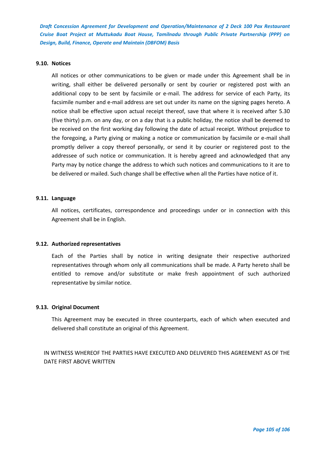### **9.10. Notices**

All notices or other communications to be given or made under this Agreement shall be in writing, shall either be delivered personally or sent by courier or registered post with an additional copy to be sent by facsimile or e-mail. The address for service of each Party, its facsimile number and e-mail address are set out under its name on the signing pages hereto. A notice shall be effective upon actual receipt thereof, save that where it is received after 5.30 (five thirty) p.m. on any day, or on a day that is a public holiday, the notice shall be deemed to be received on the first working day following the date of actual receipt. Without prejudice to the foregoing, a Party giving or making a notice or communication by facsimile or e-mail shall promptly deliver a copy thereof personally, or send it by courier or registered post to the addressee of such notice or communication. It is hereby agreed and acknowledged that any Party may by notice change the address to which such notices and communications to it are to be delivered or mailed. Such change shall be effective when all the Parties have notice of it.

#### **9.11. Language**

All notices, certificates, correspondence and proceedings under or in connection with this Agreement shall be in English.

#### **9.12. Authorized representatives**

Each of the Parties shall by notice in writing designate their respective authorized representatives through whom only all communications shall be made. A Party hereto shall be entitled to remove and/or substitute or make fresh appointment of such authorized representative by similar notice.

### **9.13. Original Document**

This Agreement may be executed in three counterparts, each of which when executed and delivered shall constitute an original of this Agreement.

IN WITNESS WHEREOF THE PARTIES HAVE EXECUTED AND DELIVERED THIS AGREEMENT AS OF THE DATE FIRST ABOVE WRITTEN